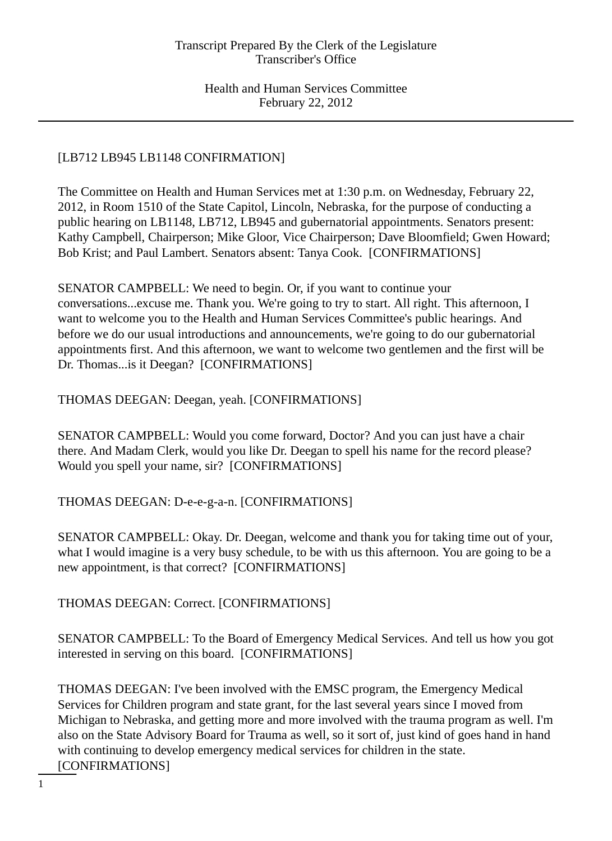# [LB712 LB945 LB1148 CONFIRMATION]

The Committee on Health and Human Services met at 1:30 p.m. on Wednesday, February 22, 2012, in Room 1510 of the State Capitol, Lincoln, Nebraska, for the purpose of conducting a public hearing on LB1148, LB712, LB945 and gubernatorial appointments. Senators present: Kathy Campbell, Chairperson; Mike Gloor, Vice Chairperson; Dave Bloomfield; Gwen Howard; Bob Krist; and Paul Lambert. Senators absent: Tanya Cook. [CONFIRMATIONS]

SENATOR CAMPBELL: We need to begin. Or, if you want to continue your conversations...excuse me. Thank you. We're going to try to start. All right. This afternoon, I want to welcome you to the Health and Human Services Committee's public hearings. And before we do our usual introductions and announcements, we're going to do our gubernatorial appointments first. And this afternoon, we want to welcome two gentlemen and the first will be Dr. Thomas...is it Deegan? [CONFIRMATIONS]

THOMAS DEEGAN: Deegan, yeah. [CONFIRMATIONS]

SENATOR CAMPBELL: Would you come forward, Doctor? And you can just have a chair there. And Madam Clerk, would you like Dr. Deegan to spell his name for the record please? Would you spell your name, sir? [CONFIRMATIONS]

THOMAS DEEGAN: D-e-e-g-a-n. [CONFIRMATIONS]

SENATOR CAMPBELL: Okay. Dr. Deegan, welcome and thank you for taking time out of your, what I would imagine is a very busy schedule, to be with us this afternoon. You are going to be a new appointment, is that correct? [CONFIRMATIONS]

THOMAS DEEGAN: Correct. [CONFIRMATIONS]

SENATOR CAMPBELL: To the Board of Emergency Medical Services. And tell us how you got interested in serving on this board. [CONFIRMATIONS]

THOMAS DEEGAN: I've been involved with the EMSC program, the Emergency Medical Services for Children program and state grant, for the last several years since I moved from Michigan to Nebraska, and getting more and more involved with the trauma program as well. I'm also on the State Advisory Board for Trauma as well, so it sort of, just kind of goes hand in hand with continuing to develop emergency medical services for children in the state. [CONFIRMATIONS]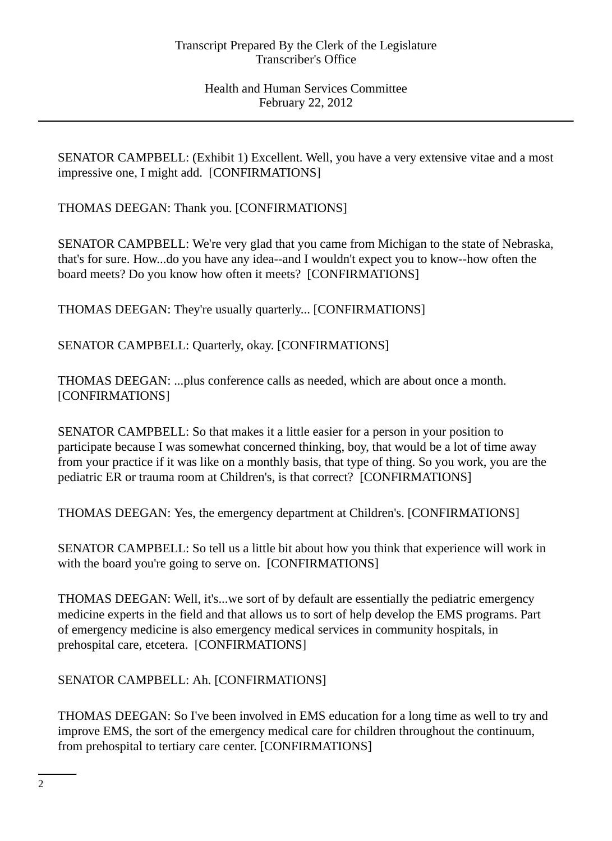SENATOR CAMPBELL: (Exhibit 1) Excellent. Well, you have a very extensive vitae and a most impressive one, I might add. [CONFIRMATIONS]

THOMAS DEEGAN: Thank you. [CONFIRMATIONS]

SENATOR CAMPBELL: We're very glad that you came from Michigan to the state of Nebraska, that's for sure. How...do you have any idea--and I wouldn't expect you to know--how often the board meets? Do you know how often it meets? [CONFIRMATIONS]

THOMAS DEEGAN: They're usually quarterly... [CONFIRMATIONS]

SENATOR CAMPBELL: Quarterly, okay. [CONFIRMATIONS]

THOMAS DEEGAN: ...plus conference calls as needed, which are about once a month. [CONFIRMATIONS]

SENATOR CAMPBELL: So that makes it a little easier for a person in your position to participate because I was somewhat concerned thinking, boy, that would be a lot of time away from your practice if it was like on a monthly basis, that type of thing. So you work, you are the pediatric ER or trauma room at Children's, is that correct? [CONFIRMATIONS]

THOMAS DEEGAN: Yes, the emergency department at Children's. [CONFIRMATIONS]

SENATOR CAMPBELL: So tell us a little bit about how you think that experience will work in with the board you're going to serve on. [CONFIRMATIONS]

THOMAS DEEGAN: Well, it's...we sort of by default are essentially the pediatric emergency medicine experts in the field and that allows us to sort of help develop the EMS programs. Part of emergency medicine is also emergency medical services in community hospitals, in prehospital care, etcetera. [CONFIRMATIONS]

SENATOR CAMPBELL: Ah. [CONFIRMATIONS]

THOMAS DEEGAN: So I've been involved in EMS education for a long time as well to try and improve EMS, the sort of the emergency medical care for children throughout the continuum, from prehospital to tertiary care center. [CONFIRMATIONS]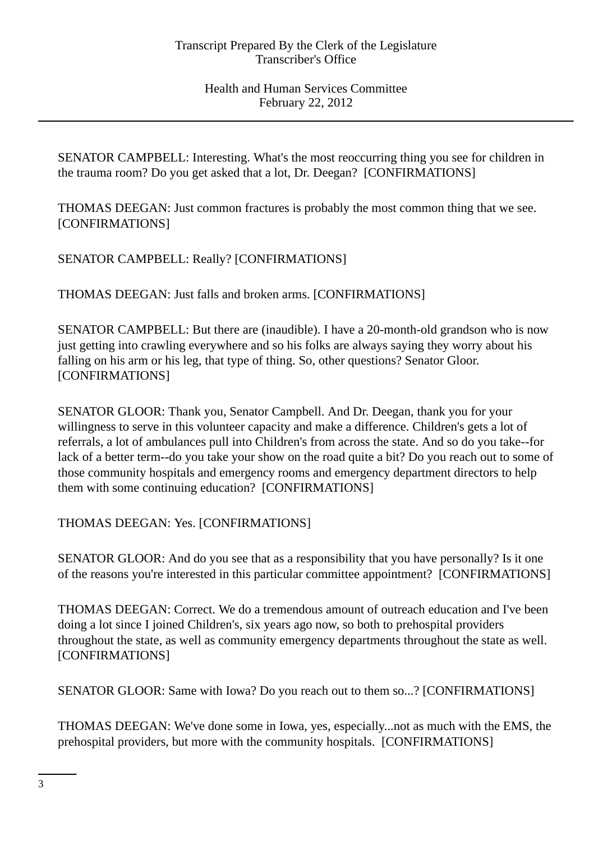SENATOR CAMPBELL: Interesting. What's the most reoccurring thing you see for children in the trauma room? Do you get asked that a lot, Dr. Deegan? [CONFIRMATIONS]

THOMAS DEEGAN: Just common fractures is probably the most common thing that we see. [CONFIRMATIONS]

SENATOR CAMPBELL: Really? [CONFIRMATIONS]

THOMAS DEEGAN: Just falls and broken arms. [CONFIRMATIONS]

SENATOR CAMPBELL: But there are (inaudible). I have a 20-month-old grandson who is now just getting into crawling everywhere and so his folks are always saying they worry about his falling on his arm or his leg, that type of thing. So, other questions? Senator Gloor. [CONFIRMATIONS]

SENATOR GLOOR: Thank you, Senator Campbell. And Dr. Deegan, thank you for your willingness to serve in this volunteer capacity and make a difference. Children's gets a lot of referrals, a lot of ambulances pull into Children's from across the state. And so do you take--for lack of a better term--do you take your show on the road quite a bit? Do you reach out to some of those community hospitals and emergency rooms and emergency department directors to help them with some continuing education? [CONFIRMATIONS]

THOMAS DEEGAN: Yes. [CONFIRMATIONS]

SENATOR GLOOR: And do you see that as a responsibility that you have personally? Is it one of the reasons you're interested in this particular committee appointment? [CONFIRMATIONS]

THOMAS DEEGAN: Correct. We do a tremendous amount of outreach education and I've been doing a lot since I joined Children's, six years ago now, so both to prehospital providers throughout the state, as well as community emergency departments throughout the state as well. [CONFIRMATIONS]

SENATOR GLOOR: Same with Iowa? Do you reach out to them so...? [CONFIRMATIONS]

THOMAS DEEGAN: We've done some in Iowa, yes, especially...not as much with the EMS, the prehospital providers, but more with the community hospitals. [CONFIRMATIONS]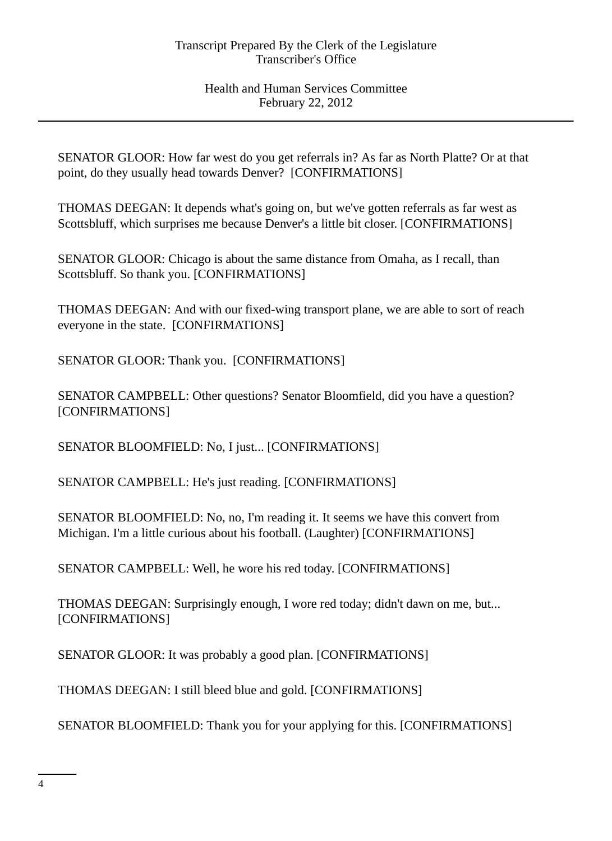SENATOR GLOOR: How far west do you get referrals in? As far as North Platte? Or at that point, do they usually head towards Denver? [CONFIRMATIONS]

THOMAS DEEGAN: It depends what's going on, but we've gotten referrals as far west as Scottsbluff, which surprises me because Denver's a little bit closer. [CONFIRMATIONS]

SENATOR GLOOR: Chicago is about the same distance from Omaha, as I recall, than Scottsbluff. So thank you. [CONFIRMATIONS]

THOMAS DEEGAN: And with our fixed-wing transport plane, we are able to sort of reach everyone in the state. [CONFIRMATIONS]

SENATOR GLOOR: Thank you. [CONFIRMATIONS]

SENATOR CAMPBELL: Other questions? Senator Bloomfield, did you have a question? [CONFIRMATIONS]

SENATOR BLOOMFIELD: No, I just... [CONFIRMATIONS]

SENATOR CAMPBELL: He's just reading. [CONFIRMATIONS]

SENATOR BLOOMFIELD: No, no, I'm reading it. It seems we have this convert from Michigan. I'm a little curious about his football. (Laughter) [CONFIRMATIONS]

SENATOR CAMPBELL: Well, he wore his red today. [CONFIRMATIONS]

THOMAS DEEGAN: Surprisingly enough, I wore red today; didn't dawn on me, but... [CONFIRMATIONS]

SENATOR GLOOR: It was probably a good plan. [CONFIRMATIONS]

THOMAS DEEGAN: I still bleed blue and gold. [CONFIRMATIONS]

SENATOR BLOOMFIELD: Thank you for your applying for this. [CONFIRMATIONS]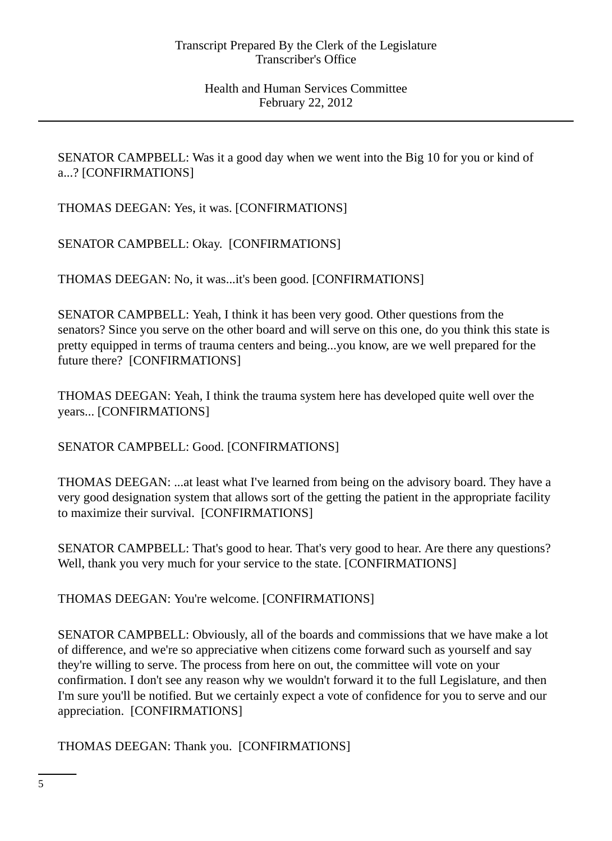SENATOR CAMPBELL: Was it a good day when we went into the Big 10 for you or kind of a...? [CONFIRMATIONS]

THOMAS DEEGAN: Yes, it was. [CONFIRMATIONS]

SENATOR CAMPBELL: Okay. [CONFIRMATIONS]

THOMAS DEEGAN: No, it was...it's been good. [CONFIRMATIONS]

SENATOR CAMPBELL: Yeah, I think it has been very good. Other questions from the senators? Since you serve on the other board and will serve on this one, do you think this state is pretty equipped in terms of trauma centers and being...you know, are we well prepared for the future there? [CONFIRMATIONS]

THOMAS DEEGAN: Yeah, I think the trauma system here has developed quite well over the years... [CONFIRMATIONS]

SENATOR CAMPBELL: Good. [CONFIRMATIONS]

THOMAS DEEGAN: ...at least what I've learned from being on the advisory board. They have a very good designation system that allows sort of the getting the patient in the appropriate facility to maximize their survival. [CONFIRMATIONS]

SENATOR CAMPBELL: That's good to hear. That's very good to hear. Are there any questions? Well, thank you very much for your service to the state. [CONFIRMATIONS]

THOMAS DEEGAN: You're welcome. [CONFIRMATIONS]

SENATOR CAMPBELL: Obviously, all of the boards and commissions that we have make a lot of difference, and we're so appreciative when citizens come forward such as yourself and say they're willing to serve. The process from here on out, the committee will vote on your confirmation. I don't see any reason why we wouldn't forward it to the full Legislature, and then I'm sure you'll be notified. But we certainly expect a vote of confidence for you to serve and our appreciation. [CONFIRMATIONS]

THOMAS DEEGAN: Thank you. [CONFIRMATIONS]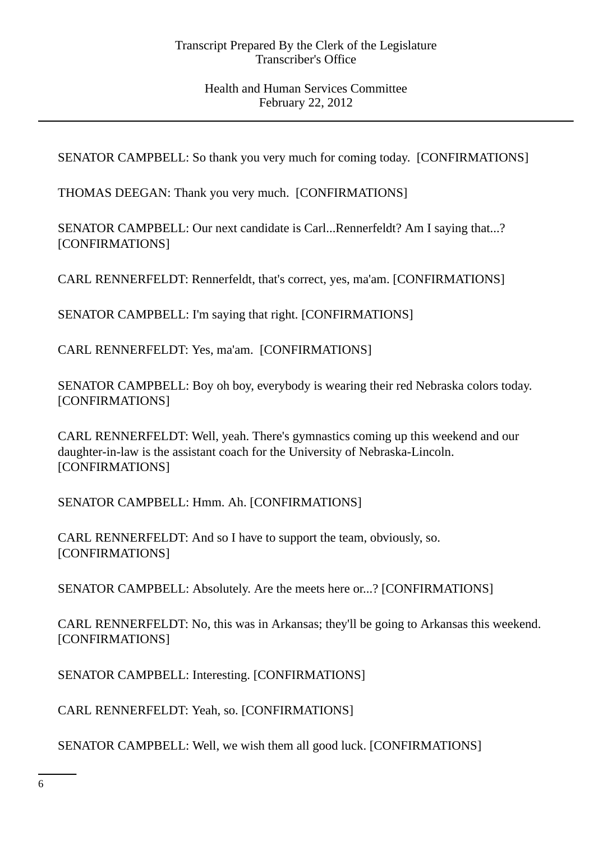SENATOR CAMPBELL: So thank you very much for coming today. [CONFIRMATIONS]

THOMAS DEEGAN: Thank you very much. [CONFIRMATIONS]

SENATOR CAMPBELL: Our next candidate is Carl...Rennerfeldt? Am I saying that...? [CONFIRMATIONS]

CARL RENNERFELDT: Rennerfeldt, that's correct, yes, ma'am. [CONFIRMATIONS]

SENATOR CAMPBELL: I'm saying that right. [CONFIRMATIONS]

CARL RENNERFELDT: Yes, ma'am. [CONFIRMATIONS]

SENATOR CAMPBELL: Boy oh boy, everybody is wearing their red Nebraska colors today. [CONFIRMATIONS]

CARL RENNERFELDT: Well, yeah. There's gymnastics coming up this weekend and our daughter-in-law is the assistant coach for the University of Nebraska-Lincoln. [CONFIRMATIONS]

SENATOR CAMPBELL: Hmm. Ah. [CONFIRMATIONS]

CARL RENNERFELDT: And so I have to support the team, obviously, so. [CONFIRMATIONS]

SENATOR CAMPBELL: Absolutely. Are the meets here or...? [CONFIRMATIONS]

CARL RENNERFELDT: No, this was in Arkansas; they'll be going to Arkansas this weekend. [CONFIRMATIONS]

SENATOR CAMPBELL: Interesting. [CONFIRMATIONS]

CARL RENNERFELDT: Yeah, so. [CONFIRMATIONS]

SENATOR CAMPBELL: Well, we wish them all good luck. [CONFIRMATIONS]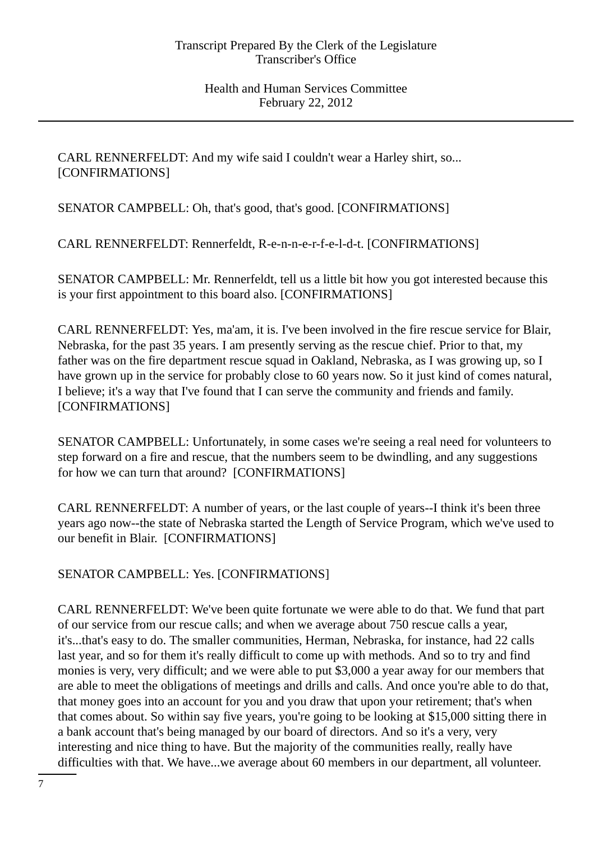CARL RENNERFELDT: And my wife said I couldn't wear a Harley shirt, so... [CONFIRMATIONS]

SENATOR CAMPBELL: Oh, that's good, that's good. [CONFIRMATIONS]

CARL RENNERFELDT: Rennerfeldt, R-e-n-n-e-r-f-e-l-d-t. [CONFIRMATIONS]

SENATOR CAMPBELL: Mr. Rennerfeldt, tell us a little bit how you got interested because this is your first appointment to this board also. [CONFIRMATIONS]

CARL RENNERFELDT: Yes, ma'am, it is. I've been involved in the fire rescue service for Blair, Nebraska, for the past 35 years. I am presently serving as the rescue chief. Prior to that, my father was on the fire department rescue squad in Oakland, Nebraska, as I was growing up, so I have grown up in the service for probably close to 60 years now. So it just kind of comes natural, I believe; it's a way that I've found that I can serve the community and friends and family. [CONFIRMATIONS]

SENATOR CAMPBELL: Unfortunately, in some cases we're seeing a real need for volunteers to step forward on a fire and rescue, that the numbers seem to be dwindling, and any suggestions for how we can turn that around? [CONFIRMATIONS]

CARL RENNERFELDT: A number of years, or the last couple of years--I think it's been three years ago now--the state of Nebraska started the Length of Service Program, which we've used to our benefit in Blair. [CONFIRMATIONS]

SENATOR CAMPBELL: Yes. [CONFIRMATIONS]

CARL RENNERFELDT: We've been quite fortunate we were able to do that. We fund that part of our service from our rescue calls; and when we average about 750 rescue calls a year, it's...that's easy to do. The smaller communities, Herman, Nebraska, for instance, had 22 calls last year, and so for them it's really difficult to come up with methods. And so to try and find monies is very, very difficult; and we were able to put \$3,000 a year away for our members that are able to meet the obligations of meetings and drills and calls. And once you're able to do that, that money goes into an account for you and you draw that upon your retirement; that's when that comes about. So within say five years, you're going to be looking at \$15,000 sitting there in a bank account that's being managed by our board of directors. And so it's a very, very interesting and nice thing to have. But the majority of the communities really, really have difficulties with that. We have...we average about 60 members in our department, all volunteer.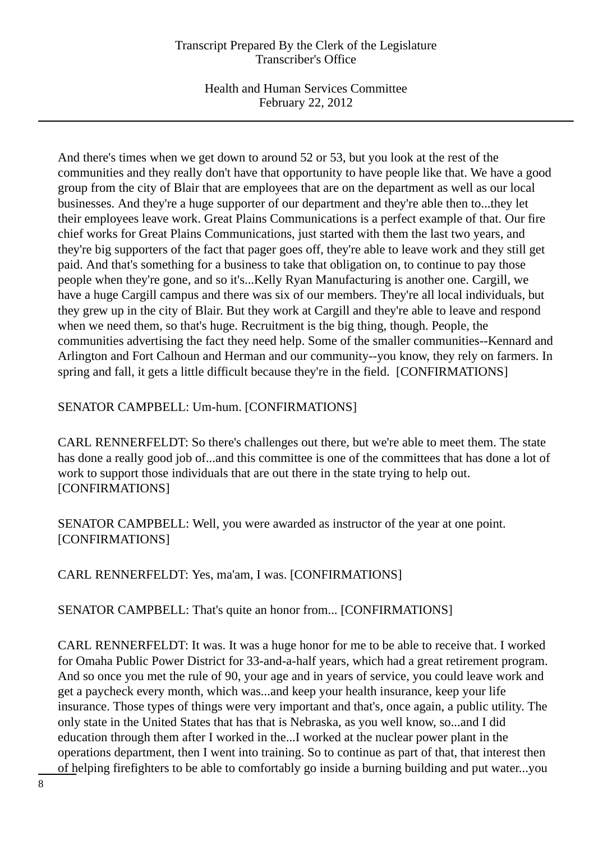Health and Human Services Committee February 22, 2012

And there's times when we get down to around 52 or 53, but you look at the rest of the communities and they really don't have that opportunity to have people like that. We have a good group from the city of Blair that are employees that are on the department as well as our local businesses. And they're a huge supporter of our department and they're able then to...they let their employees leave work. Great Plains Communications is a perfect example of that. Our fire chief works for Great Plains Communications, just started with them the last two years, and they're big supporters of the fact that pager goes off, they're able to leave work and they still get paid. And that's something for a business to take that obligation on, to continue to pay those people when they're gone, and so it's...Kelly Ryan Manufacturing is another one. Cargill, we have a huge Cargill campus and there was six of our members. They're all local individuals, but they grew up in the city of Blair. But they work at Cargill and they're able to leave and respond when we need them, so that's huge. Recruitment is the big thing, though. People, the communities advertising the fact they need help. Some of the smaller communities--Kennard and Arlington and Fort Calhoun and Herman and our community--you know, they rely on farmers. In spring and fall, it gets a little difficult because they're in the field. [CONFIRMATIONS]

## SENATOR CAMPBELL: Um-hum. [CONFIRMATIONS]

CARL RENNERFELDT: So there's challenges out there, but we're able to meet them. The state has done a really good job of...and this committee is one of the committees that has done a lot of work to support those individuals that are out there in the state trying to help out. [CONFIRMATIONS]

SENATOR CAMPBELL: Well, you were awarded as instructor of the year at one point. [CONFIRMATIONS]

CARL RENNERFELDT: Yes, ma'am, I was. [CONFIRMATIONS]

SENATOR CAMPBELL: That's quite an honor from... [CONFIRMATIONS]

CARL RENNERFELDT: It was. It was a huge honor for me to be able to receive that. I worked for Omaha Public Power District for 33-and-a-half years, which had a great retirement program. And so once you met the rule of 90, your age and in years of service, you could leave work and get a paycheck every month, which was...and keep your health insurance, keep your life insurance. Those types of things were very important and that's, once again, a public utility. The only state in the United States that has that is Nebraska, as you well know, so...and I did education through them after I worked in the...I worked at the nuclear power plant in the operations department, then I went into training. So to continue as part of that, that interest then of helping firefighters to be able to comfortably go inside a burning building and put water...you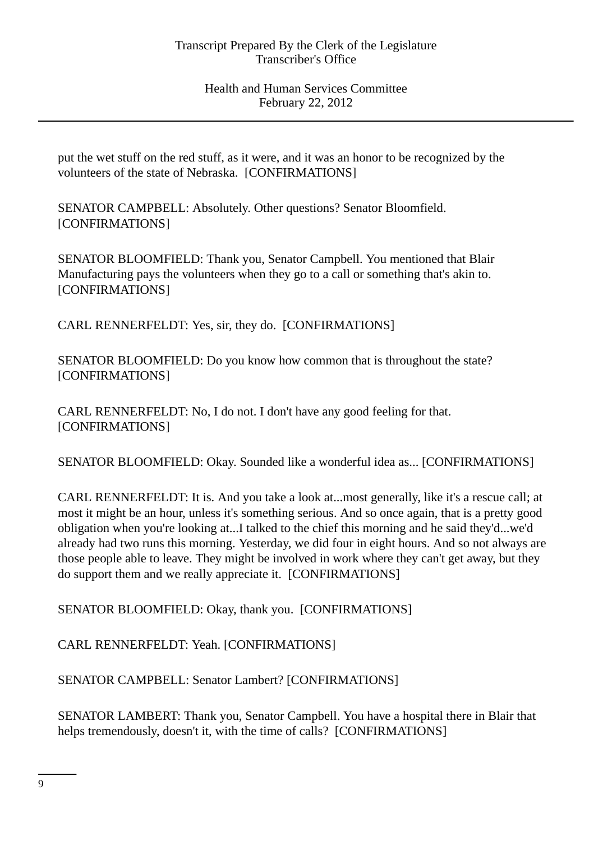put the wet stuff on the red stuff, as it were, and it was an honor to be recognized by the volunteers of the state of Nebraska. [CONFIRMATIONS]

SENATOR CAMPBELL: Absolutely. Other questions? Senator Bloomfield. [CONFIRMATIONS]

SENATOR BLOOMFIELD: Thank you, Senator Campbell. You mentioned that Blair Manufacturing pays the volunteers when they go to a call or something that's akin to. [CONFIRMATIONS]

CARL RENNERFELDT: Yes, sir, they do. [CONFIRMATIONS]

SENATOR BLOOMFIELD: Do you know how common that is throughout the state? [CONFIRMATIONS]

CARL RENNERFELDT: No, I do not. I don't have any good feeling for that. [CONFIRMATIONS]

SENATOR BLOOMFIELD: Okay. Sounded like a wonderful idea as... [CONFIRMATIONS]

CARL RENNERFELDT: It is. And you take a look at...most generally, like it's a rescue call; at most it might be an hour, unless it's something serious. And so once again, that is a pretty good obligation when you're looking at...I talked to the chief this morning and he said they'd...we'd already had two runs this morning. Yesterday, we did four in eight hours. And so not always are those people able to leave. They might be involved in work where they can't get away, but they do support them and we really appreciate it. [CONFIRMATIONS]

SENATOR BLOOMFIELD: Okay, thank you. [CONFIRMATIONS]

CARL RENNERFELDT: Yeah. [CONFIRMATIONS]

SENATOR CAMPBELL: Senator Lambert? [CONFIRMATIONS]

SENATOR LAMBERT: Thank you, Senator Campbell. You have a hospital there in Blair that helps tremendously, doesn't it, with the time of calls? [CONFIRMATIONS]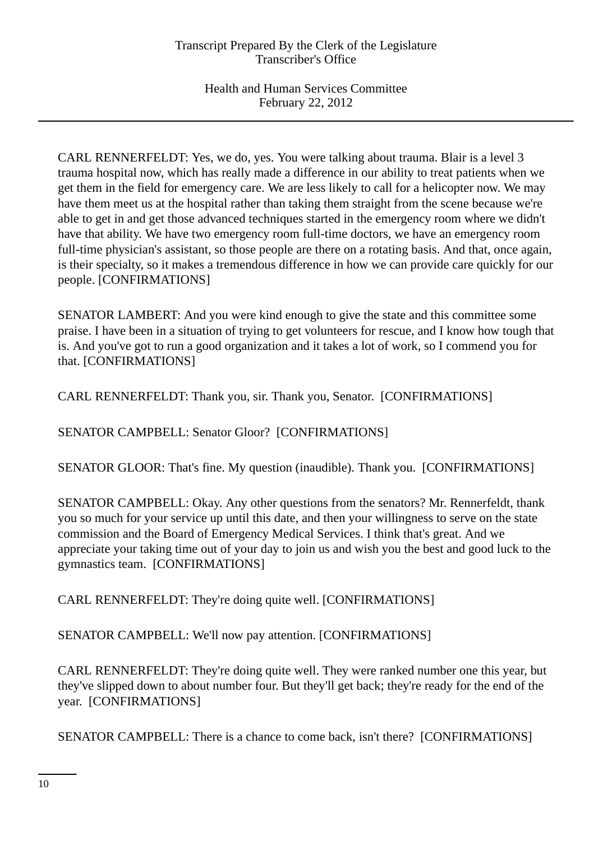CARL RENNERFELDT: Yes, we do, yes. You were talking about trauma. Blair is a level 3 trauma hospital now, which has really made a difference in our ability to treat patients when we get them in the field for emergency care. We are less likely to call for a helicopter now. We may have them meet us at the hospital rather than taking them straight from the scene because we're able to get in and get those advanced techniques started in the emergency room where we didn't have that ability. We have two emergency room full-time doctors, we have an emergency room full-time physician's assistant, so those people are there on a rotating basis. And that, once again, is their specialty, so it makes a tremendous difference in how we can provide care quickly for our people. [CONFIRMATIONS]

SENATOR LAMBERT: And you were kind enough to give the state and this committee some praise. I have been in a situation of trying to get volunteers for rescue, and I know how tough that is. And you've got to run a good organization and it takes a lot of work, so I commend you for that. [CONFIRMATIONS]

CARL RENNERFELDT: Thank you, sir. Thank you, Senator. [CONFIRMATIONS]

SENATOR CAMPBELL: Senator Gloor? [CONFIRMATIONS]

SENATOR GLOOR: That's fine. My question (inaudible). Thank you. [CONFIRMATIONS]

SENATOR CAMPBELL: Okay. Any other questions from the senators? Mr. Rennerfeldt, thank you so much for your service up until this date, and then your willingness to serve on the state commission and the Board of Emergency Medical Services. I think that's great. And we appreciate your taking time out of your day to join us and wish you the best and good luck to the gymnastics team. [CONFIRMATIONS]

CARL RENNERFELDT: They're doing quite well. [CONFIRMATIONS]

SENATOR CAMPBELL: We'll now pay attention. [CONFIRMATIONS]

CARL RENNERFELDT: They're doing quite well. They were ranked number one this year, but they've slipped down to about number four. But they'll get back; they're ready for the end of the year. [CONFIRMATIONS]

SENATOR CAMPBELL: There is a chance to come back, isn't there? [CONFIRMATIONS]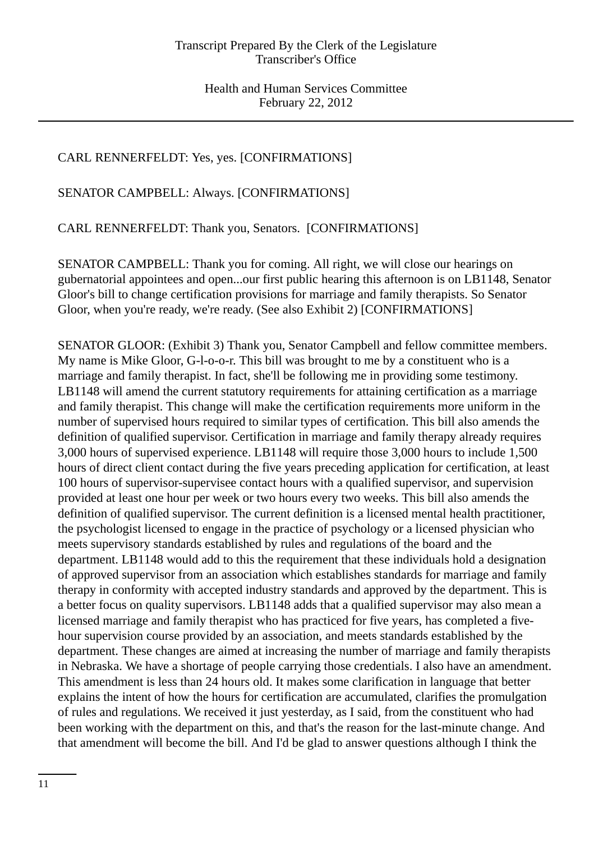# CARL RENNERFELDT: Yes, yes. [CONFIRMATIONS]

SENATOR CAMPBELL: Always. [CONFIRMATIONS]

CARL RENNERFELDT: Thank you, Senators. [CONFIRMATIONS]

SENATOR CAMPBELL: Thank you for coming. All right, we will close our hearings on gubernatorial appointees and open...our first public hearing this afternoon is on LB1148, Senator Gloor's bill to change certification provisions for marriage and family therapists. So Senator Gloor, when you're ready, we're ready. (See also Exhibit 2) [CONFIRMATIONS]

SENATOR GLOOR: (Exhibit 3) Thank you, Senator Campbell and fellow committee members. My name is Mike Gloor, G-l-o-o-r. This bill was brought to me by a constituent who is a marriage and family therapist. In fact, she'll be following me in providing some testimony. LB1148 will amend the current statutory requirements for attaining certification as a marriage and family therapist. This change will make the certification requirements more uniform in the number of supervised hours required to similar types of certification. This bill also amends the definition of qualified supervisor. Certification in marriage and family therapy already requires 3,000 hours of supervised experience. LB1148 will require those 3,000 hours to include 1,500 hours of direct client contact during the five years preceding application for certification, at least 100 hours of supervisor-supervisee contact hours with a qualified supervisor, and supervision provided at least one hour per week or two hours every two weeks. This bill also amends the definition of qualified supervisor. The current definition is a licensed mental health practitioner, the psychologist licensed to engage in the practice of psychology or a licensed physician who meets supervisory standards established by rules and regulations of the board and the department. LB1148 would add to this the requirement that these individuals hold a designation of approved supervisor from an association which establishes standards for marriage and family therapy in conformity with accepted industry standards and approved by the department. This is a better focus on quality supervisors. LB1148 adds that a qualified supervisor may also mean a licensed marriage and family therapist who has practiced for five years, has completed a fivehour supervision course provided by an association, and meets standards established by the department. These changes are aimed at increasing the number of marriage and family therapists in Nebraska. We have a shortage of people carrying those credentials. I also have an amendment. This amendment is less than 24 hours old. It makes some clarification in language that better explains the intent of how the hours for certification are accumulated, clarifies the promulgation of rules and regulations. We received it just yesterday, as I said, from the constituent who had been working with the department on this, and that's the reason for the last-minute change. And that amendment will become the bill. And I'd be glad to answer questions although I think the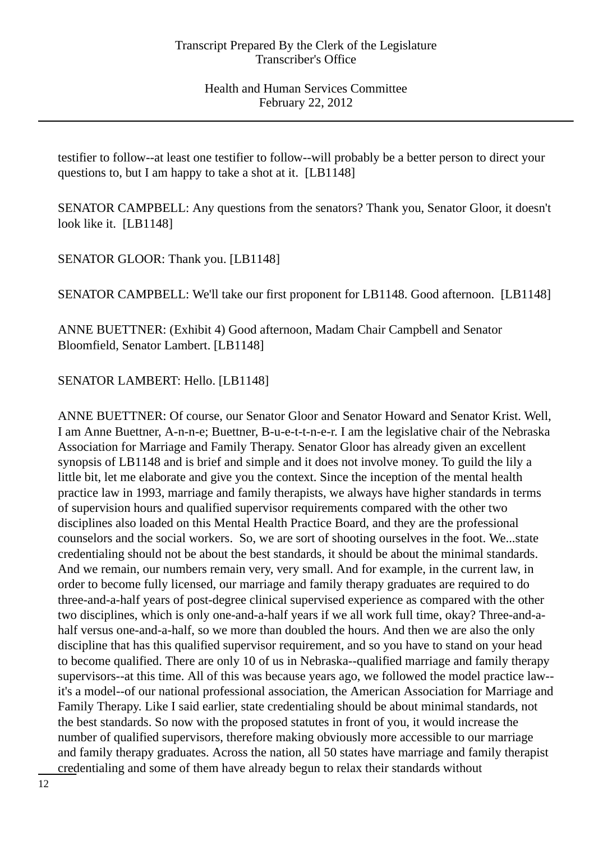testifier to follow--at least one testifier to follow--will probably be a better person to direct your questions to, but I am happy to take a shot at it. [LB1148]

SENATOR CAMPBELL: Any questions from the senators? Thank you, Senator Gloor, it doesn't look like it. [LB1148]

SENATOR GLOOR: Thank you. [LB1148]

SENATOR CAMPBELL: We'll take our first proponent for LB1148. Good afternoon. [LB1148]

ANNE BUETTNER: (Exhibit 4) Good afternoon, Madam Chair Campbell and Senator Bloomfield, Senator Lambert. [LB1148]

SENATOR LAMBERT: Hello. [LB1148]

ANNE BUETTNER: Of course, our Senator Gloor and Senator Howard and Senator Krist. Well, I am Anne Buettner, A-n-n-e; Buettner, B-u-e-t-t-n-e-r. I am the legislative chair of the Nebraska Association for Marriage and Family Therapy. Senator Gloor has already given an excellent synopsis of LB1148 and is brief and simple and it does not involve money. To guild the lily a little bit, let me elaborate and give you the context. Since the inception of the mental health practice law in 1993, marriage and family therapists, we always have higher standards in terms of supervision hours and qualified supervisor requirements compared with the other two disciplines also loaded on this Mental Health Practice Board, and they are the professional counselors and the social workers. So, we are sort of shooting ourselves in the foot. We...state credentialing should not be about the best standards, it should be about the minimal standards. And we remain, our numbers remain very, very small. And for example, in the current law, in order to become fully licensed, our marriage and family therapy graduates are required to do three-and-a-half years of post-degree clinical supervised experience as compared with the other two disciplines, which is only one-and-a-half years if we all work full time, okay? Three-and-ahalf versus one-and-a-half, so we more than doubled the hours. And then we are also the only discipline that has this qualified supervisor requirement, and so you have to stand on your head to become qualified. There are only 10 of us in Nebraska--qualified marriage and family therapy supervisors--at this time. All of this was because years ago, we followed the model practice law- it's a model--of our national professional association, the American Association for Marriage and Family Therapy. Like I said earlier, state credentialing should be about minimal standards, not the best standards. So now with the proposed statutes in front of you, it would increase the number of qualified supervisors, therefore making obviously more accessible to our marriage and family therapy graduates. Across the nation, all 50 states have marriage and family therapist credentialing and some of them have already begun to relax their standards without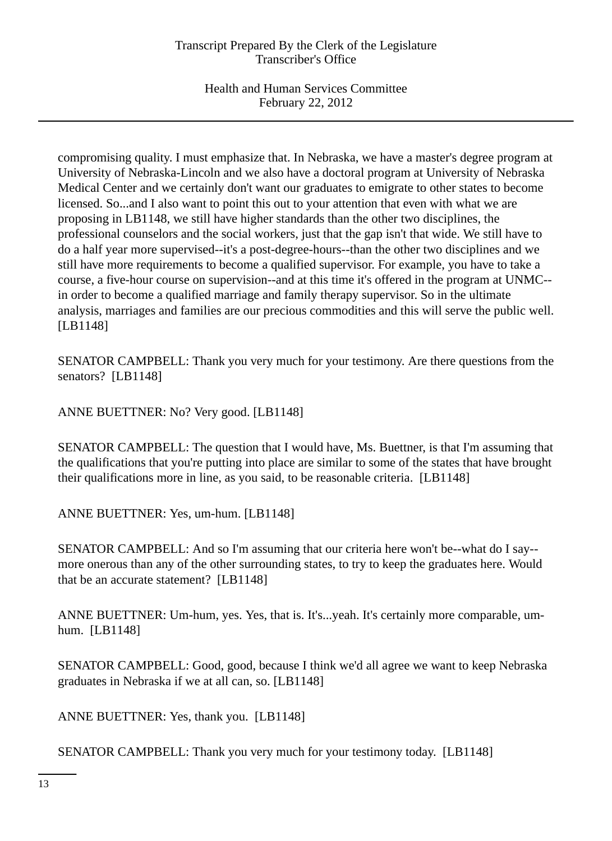compromising quality. I must emphasize that. In Nebraska, we have a master's degree program at University of Nebraska-Lincoln and we also have a doctoral program at University of Nebraska Medical Center and we certainly don't want our graduates to emigrate to other states to become licensed. So...and I also want to point this out to your attention that even with what we are proposing in LB1148, we still have higher standards than the other two disciplines, the professional counselors and the social workers, just that the gap isn't that wide. We still have to do a half year more supervised--it's a post-degree-hours--than the other two disciplines and we still have more requirements to become a qualified supervisor. For example, you have to take a course, a five-hour course on supervision--and at this time it's offered in the program at UNMC- in order to become a qualified marriage and family therapy supervisor. So in the ultimate analysis, marriages and families are our precious commodities and this will serve the public well. [LB1148]

SENATOR CAMPBELL: Thank you very much for your testimony. Are there questions from the senators? [LB1148]

ANNE BUETTNER: No? Very good. [LB1148]

SENATOR CAMPBELL: The question that I would have, Ms. Buettner, is that I'm assuming that the qualifications that you're putting into place are similar to some of the states that have brought their qualifications more in line, as you said, to be reasonable criteria. [LB1148]

ANNE BUETTNER: Yes, um-hum. [LB1148]

SENATOR CAMPBELL: And so I'm assuming that our criteria here won't be--what do I say- more onerous than any of the other surrounding states, to try to keep the graduates here. Would that be an accurate statement? [LB1148]

ANNE BUETTNER: Um-hum, yes. Yes, that is. It's...yeah. It's certainly more comparable, umhum. [LB1148]

SENATOR CAMPBELL: Good, good, because I think we'd all agree we want to keep Nebraska graduates in Nebraska if we at all can, so. [LB1148]

ANNE BUETTNER: Yes, thank you. [LB1148]

SENATOR CAMPBELL: Thank you very much for your testimony today. [LB1148]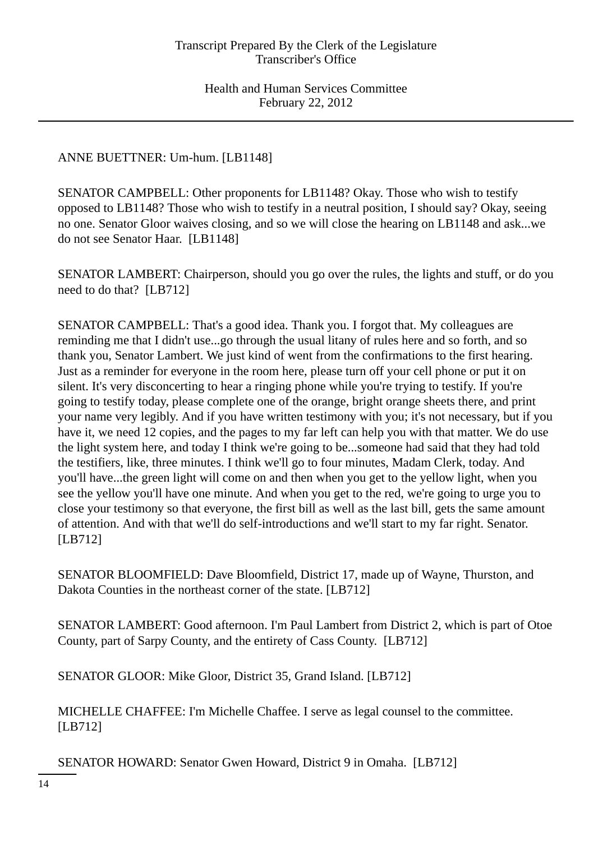## ANNE BUETTNER: Um-hum. [LB1148]

SENATOR CAMPBELL: Other proponents for LB1148? Okay. Those who wish to testify opposed to LB1148? Those who wish to testify in a neutral position, I should say? Okay, seeing no one. Senator Gloor waives closing, and so we will close the hearing on LB1148 and ask...we do not see Senator Haar. [LB1148]

SENATOR LAMBERT: Chairperson, should you go over the rules, the lights and stuff, or do you need to do that? [LB712]

SENATOR CAMPBELL: That's a good idea. Thank you. I forgot that. My colleagues are reminding me that I didn't use...go through the usual litany of rules here and so forth, and so thank you, Senator Lambert. We just kind of went from the confirmations to the first hearing. Just as a reminder for everyone in the room here, please turn off your cell phone or put it on silent. It's very disconcerting to hear a ringing phone while you're trying to testify. If you're going to testify today, please complete one of the orange, bright orange sheets there, and print your name very legibly. And if you have written testimony with you; it's not necessary, but if you have it, we need 12 copies, and the pages to my far left can help you with that matter. We do use the light system here, and today I think we're going to be...someone had said that they had told the testifiers, like, three minutes. I think we'll go to four minutes, Madam Clerk, today. And you'll have...the green light will come on and then when you get to the yellow light, when you see the yellow you'll have one minute. And when you get to the red, we're going to urge you to close your testimony so that everyone, the first bill as well as the last bill, gets the same amount of attention. And with that we'll do self-introductions and we'll start to my far right. Senator. [LB712]

SENATOR BLOOMFIELD: Dave Bloomfield, District 17, made up of Wayne, Thurston, and Dakota Counties in the northeast corner of the state. [LB712]

SENATOR LAMBERT: Good afternoon. I'm Paul Lambert from District 2, which is part of Otoe County, part of Sarpy County, and the entirety of Cass County. [LB712]

SENATOR GLOOR: Mike Gloor, District 35, Grand Island. [LB712]

MICHELLE CHAFFEE: I'm Michelle Chaffee. I serve as legal counsel to the committee. [LB712]

SENATOR HOWARD: Senator Gwen Howard, District 9 in Omaha. [LB712]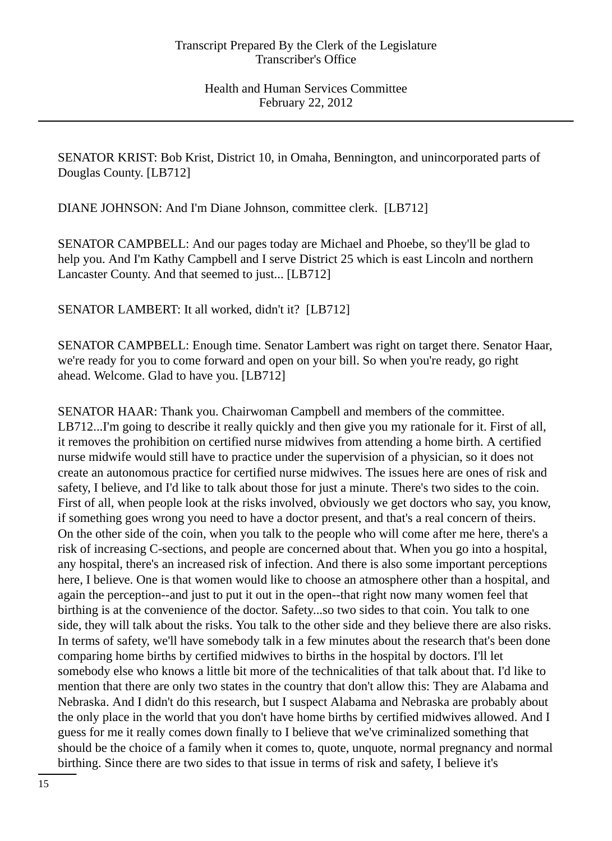SENATOR KRIST: Bob Krist, District 10, in Omaha, Bennington, and unincorporated parts of Douglas County. [LB712]

DIANE JOHNSON: And I'm Diane Johnson, committee clerk. [LB712]

SENATOR CAMPBELL: And our pages today are Michael and Phoebe, so they'll be glad to help you. And I'm Kathy Campbell and I serve District 25 which is east Lincoln and northern Lancaster County. And that seemed to just... [LB712]

SENATOR LAMBERT: It all worked, didn't it? [LB712]

SENATOR CAMPBELL: Enough time. Senator Lambert was right on target there. Senator Haar, we're ready for you to come forward and open on your bill. So when you're ready, go right ahead. Welcome. Glad to have you. [LB712]

SENATOR HAAR: Thank you. Chairwoman Campbell and members of the committee. LB712...I'm going to describe it really quickly and then give you my rationale for it. First of all, it removes the prohibition on certified nurse midwives from attending a home birth. A certified nurse midwife would still have to practice under the supervision of a physician, so it does not create an autonomous practice for certified nurse midwives. The issues here are ones of risk and safety, I believe, and I'd like to talk about those for just a minute. There's two sides to the coin. First of all, when people look at the risks involved, obviously we get doctors who say, you know, if something goes wrong you need to have a doctor present, and that's a real concern of theirs. On the other side of the coin, when you talk to the people who will come after me here, there's a risk of increasing C-sections, and people are concerned about that. When you go into a hospital, any hospital, there's an increased risk of infection. And there is also some important perceptions here, I believe. One is that women would like to choose an atmosphere other than a hospital, and again the perception--and just to put it out in the open--that right now many women feel that birthing is at the convenience of the doctor. Safety...so two sides to that coin. You talk to one side, they will talk about the risks. You talk to the other side and they believe there are also risks. In terms of safety, we'll have somebody talk in a few minutes about the research that's been done comparing home births by certified midwives to births in the hospital by doctors. I'll let somebody else who knows a little bit more of the technicalities of that talk about that. I'd like to mention that there are only two states in the country that don't allow this: They are Alabama and Nebraska. And I didn't do this research, but I suspect Alabama and Nebraska are probably about the only place in the world that you don't have home births by certified midwives allowed. And I guess for me it really comes down finally to I believe that we've criminalized something that should be the choice of a family when it comes to, quote, unquote, normal pregnancy and normal birthing. Since there are two sides to that issue in terms of risk and safety, I believe it's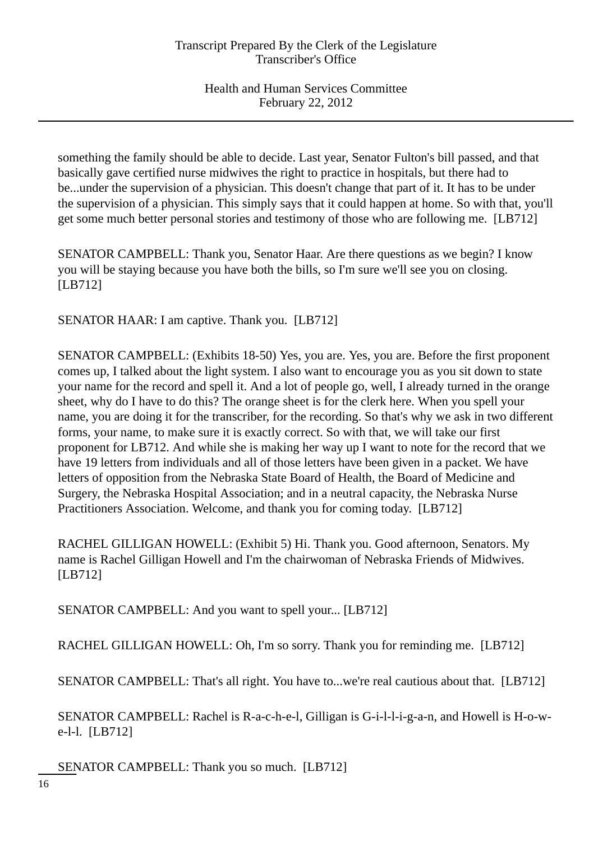something the family should be able to decide. Last year, Senator Fulton's bill passed, and that basically gave certified nurse midwives the right to practice in hospitals, but there had to be...under the supervision of a physician. This doesn't change that part of it. It has to be under the supervision of a physician. This simply says that it could happen at home. So with that, you'll get some much better personal stories and testimony of those who are following me. [LB712]

SENATOR CAMPBELL: Thank you, Senator Haar. Are there questions as we begin? I know you will be staying because you have both the bills, so I'm sure we'll see you on closing. [LB712]

SENATOR HAAR: I am captive. Thank you. [LB712]

SENATOR CAMPBELL: (Exhibits 18-50) Yes, you are. Yes, you are. Before the first proponent comes up, I talked about the light system. I also want to encourage you as you sit down to state your name for the record and spell it. And a lot of people go, well, I already turned in the orange sheet, why do I have to do this? The orange sheet is for the clerk here. When you spell your name, you are doing it for the transcriber, for the recording. So that's why we ask in two different forms, your name, to make sure it is exactly correct. So with that, we will take our first proponent for LB712. And while she is making her way up I want to note for the record that we have 19 letters from individuals and all of those letters have been given in a packet. We have letters of opposition from the Nebraska State Board of Health, the Board of Medicine and Surgery, the Nebraska Hospital Association; and in a neutral capacity, the Nebraska Nurse Practitioners Association. Welcome, and thank you for coming today. [LB712]

RACHEL GILLIGAN HOWELL: (Exhibit 5) Hi. Thank you. Good afternoon, Senators. My name is Rachel Gilligan Howell and I'm the chairwoman of Nebraska Friends of Midwives. [LB712]

SENATOR CAMPBELL: And you want to spell your... [LB712]

RACHEL GILLIGAN HOWELL: Oh, I'm so sorry. Thank you for reminding me. [LB712]

SENATOR CAMPBELL: That's all right. You have to...we're real cautious about that. [LB712]

SENATOR CAMPBELL: Rachel is R-a-c-h-e-l, Gilligan is G-i-l-l-i-g-a-n, and Howell is H-o-we-l-l. [LB712]

SENATOR CAMPBELL: Thank you so much. [LB712]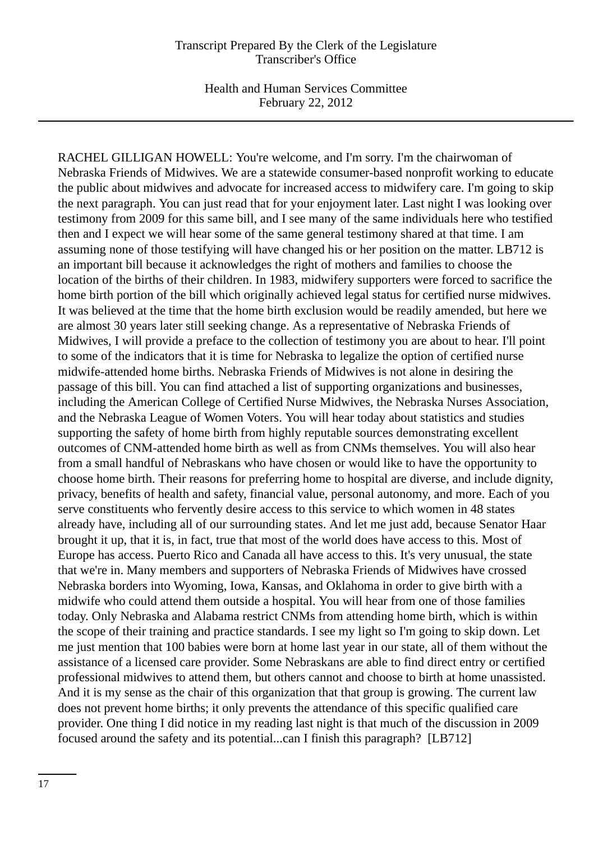RACHEL GILLIGAN HOWELL: You're welcome, and I'm sorry. I'm the chairwoman of Nebraska Friends of Midwives. We are a statewide consumer-based nonprofit working to educate the public about midwives and advocate for increased access to midwifery care. I'm going to skip the next paragraph. You can just read that for your enjoyment later. Last night I was looking over testimony from 2009 for this same bill, and I see many of the same individuals here who testified then and I expect we will hear some of the same general testimony shared at that time. I am assuming none of those testifying will have changed his or her position on the matter. LB712 is an important bill because it acknowledges the right of mothers and families to choose the location of the births of their children. In 1983, midwifery supporters were forced to sacrifice the home birth portion of the bill which originally achieved legal status for certified nurse midwives. It was believed at the time that the home birth exclusion would be readily amended, but here we are almost 30 years later still seeking change. As a representative of Nebraska Friends of Midwives, I will provide a preface to the collection of testimony you are about to hear. I'll point to some of the indicators that it is time for Nebraska to legalize the option of certified nurse midwife-attended home births. Nebraska Friends of Midwives is not alone in desiring the passage of this bill. You can find attached a list of supporting organizations and businesses, including the American College of Certified Nurse Midwives, the Nebraska Nurses Association, and the Nebraska League of Women Voters. You will hear today about statistics and studies supporting the safety of home birth from highly reputable sources demonstrating excellent outcomes of CNM-attended home birth as well as from CNMs themselves. You will also hear from a small handful of Nebraskans who have chosen or would like to have the opportunity to choose home birth. Their reasons for preferring home to hospital are diverse, and include dignity, privacy, benefits of health and safety, financial value, personal autonomy, and more. Each of you serve constituents who fervently desire access to this service to which women in 48 states already have, including all of our surrounding states. And let me just add, because Senator Haar brought it up, that it is, in fact, true that most of the world does have access to this. Most of Europe has access. Puerto Rico and Canada all have access to this. It's very unusual, the state that we're in. Many members and supporters of Nebraska Friends of Midwives have crossed Nebraska borders into Wyoming, Iowa, Kansas, and Oklahoma in order to give birth with a midwife who could attend them outside a hospital. You will hear from one of those families today. Only Nebraska and Alabama restrict CNMs from attending home birth, which is within the scope of their training and practice standards. I see my light so I'm going to skip down. Let me just mention that 100 babies were born at home last year in our state, all of them without the assistance of a licensed care provider. Some Nebraskans are able to find direct entry or certified professional midwives to attend them, but others cannot and choose to birth at home unassisted. And it is my sense as the chair of this organization that that group is growing. The current law does not prevent home births; it only prevents the attendance of this specific qualified care provider. One thing I did notice in my reading last night is that much of the discussion in 2009 focused around the safety and its potential...can I finish this paragraph? [LB712]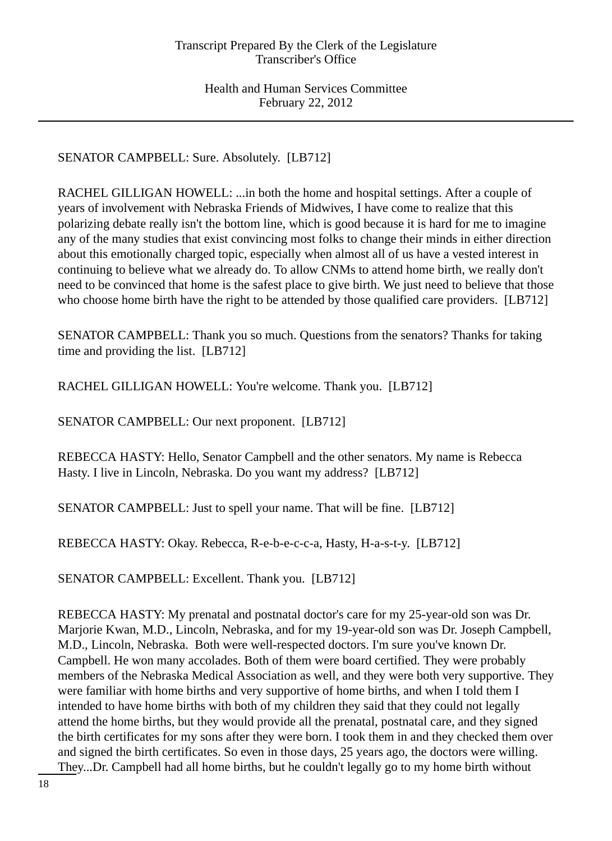SENATOR CAMPBELL: Sure. Absolutely. [LB712]

RACHEL GILLIGAN HOWELL: ...in both the home and hospital settings. After a couple of years of involvement with Nebraska Friends of Midwives, I have come to realize that this polarizing debate really isn't the bottom line, which is good because it is hard for me to imagine any of the many studies that exist convincing most folks to change their minds in either direction about this emotionally charged topic, especially when almost all of us have a vested interest in continuing to believe what we already do. To allow CNMs to attend home birth, we really don't need to be convinced that home is the safest place to give birth. We just need to believe that those who choose home birth have the right to be attended by those qualified care providers. [LB712]

SENATOR CAMPBELL: Thank you so much. Questions from the senators? Thanks for taking time and providing the list. [LB712]

RACHEL GILLIGAN HOWELL: You're welcome. Thank you. [LB712]

SENATOR CAMPBELL: Our next proponent. [LB712]

REBECCA HASTY: Hello, Senator Campbell and the other senators. My name is Rebecca Hasty. I live in Lincoln, Nebraska. Do you want my address? [LB712]

SENATOR CAMPBELL: Just to spell your name. That will be fine. [LB712]

REBECCA HASTY: Okay. Rebecca, R-e-b-e-c-c-a, Hasty, H-a-s-t-y. [LB712]

SENATOR CAMPBELL: Excellent. Thank you. [LB712]

REBECCA HASTY: My prenatal and postnatal doctor's care for my 25-year-old son was Dr. Marjorie Kwan, M.D., Lincoln, Nebraska, and for my 19-year-old son was Dr. Joseph Campbell, M.D., Lincoln, Nebraska. Both were well-respected doctors. I'm sure you've known Dr. Campbell. He won many accolades. Both of them were board certified. They were probably members of the Nebraska Medical Association as well, and they were both very supportive. They were familiar with home births and very supportive of home births, and when I told them I intended to have home births with both of my children they said that they could not legally attend the home births, but they would provide all the prenatal, postnatal care, and they signed the birth certificates for my sons after they were born. I took them in and they checked them over and signed the birth certificates. So even in those days, 25 years ago, the doctors were willing. They...Dr. Campbell had all home births, but he couldn't legally go to my home birth without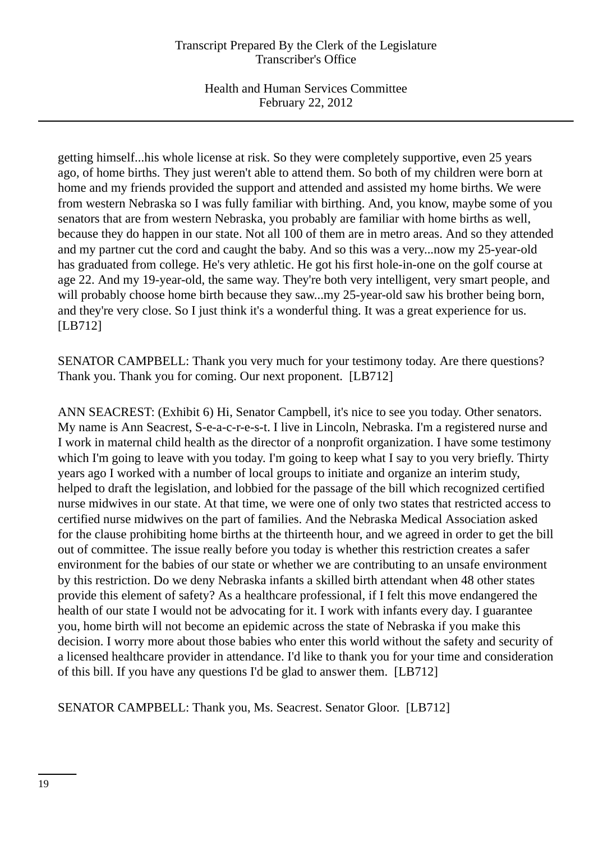getting himself...his whole license at risk. So they were completely supportive, even 25 years ago, of home births. They just weren't able to attend them. So both of my children were born at home and my friends provided the support and attended and assisted my home births. We were from western Nebraska so I was fully familiar with birthing. And, you know, maybe some of you senators that are from western Nebraska, you probably are familiar with home births as well, because they do happen in our state. Not all 100 of them are in metro areas. And so they attended and my partner cut the cord and caught the baby. And so this was a very...now my 25-year-old has graduated from college. He's very athletic. He got his first hole-in-one on the golf course at age 22. And my 19-year-old, the same way. They're both very intelligent, very smart people, and will probably choose home birth because they saw...my 25-year-old saw his brother being born, and they're very close. So I just think it's a wonderful thing. It was a great experience for us. [LB712]

SENATOR CAMPBELL: Thank you very much for your testimony today. Are there questions? Thank you. Thank you for coming. Our next proponent. [LB712]

ANN SEACREST: (Exhibit 6) Hi, Senator Campbell, it's nice to see you today. Other senators. My name is Ann Seacrest, S-e-a-c-r-e-s-t. I live in Lincoln, Nebraska. I'm a registered nurse and I work in maternal child health as the director of a nonprofit organization. I have some testimony which I'm going to leave with you today. I'm going to keep what I say to you very briefly. Thirty years ago I worked with a number of local groups to initiate and organize an interim study, helped to draft the legislation, and lobbied for the passage of the bill which recognized certified nurse midwives in our state. At that time, we were one of only two states that restricted access to certified nurse midwives on the part of families. And the Nebraska Medical Association asked for the clause prohibiting home births at the thirteenth hour, and we agreed in order to get the bill out of committee. The issue really before you today is whether this restriction creates a safer environment for the babies of our state or whether we are contributing to an unsafe environment by this restriction. Do we deny Nebraska infants a skilled birth attendant when 48 other states provide this element of safety? As a healthcare professional, if I felt this move endangered the health of our state I would not be advocating for it. I work with infants every day. I guarantee you, home birth will not become an epidemic across the state of Nebraska if you make this decision. I worry more about those babies who enter this world without the safety and security of a licensed healthcare provider in attendance. I'd like to thank you for your time and consideration of this bill. If you have any questions I'd be glad to answer them. [LB712]

SENATOR CAMPBELL: Thank you, Ms. Seacrest. Senator Gloor. [LB712]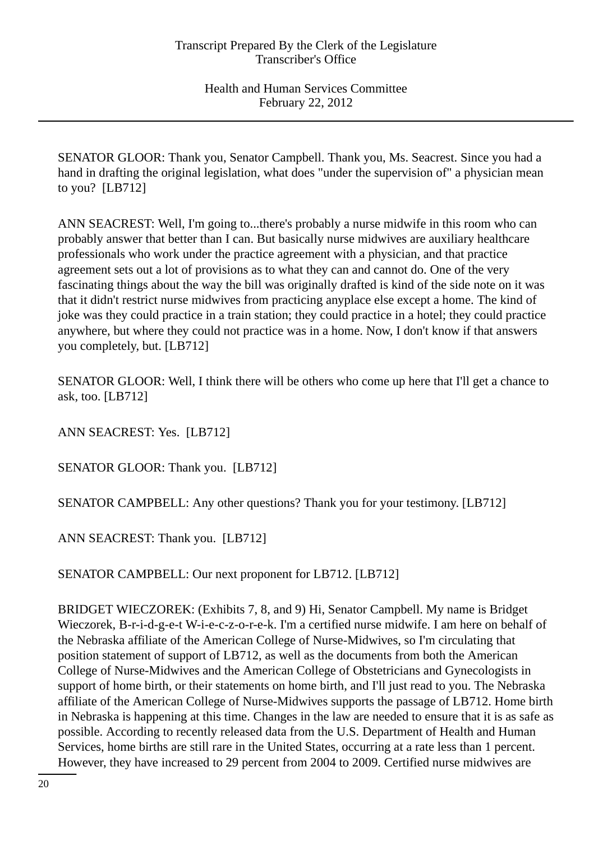SENATOR GLOOR: Thank you, Senator Campbell. Thank you, Ms. Seacrest. Since you had a hand in drafting the original legislation, what does "under the supervision of" a physician mean to you? [LB712]

ANN SEACREST: Well, I'm going to...there's probably a nurse midwife in this room who can probably answer that better than I can. But basically nurse midwives are auxiliary healthcare professionals who work under the practice agreement with a physician, and that practice agreement sets out a lot of provisions as to what they can and cannot do. One of the very fascinating things about the way the bill was originally drafted is kind of the side note on it was that it didn't restrict nurse midwives from practicing anyplace else except a home. The kind of joke was they could practice in a train station; they could practice in a hotel; they could practice anywhere, but where they could not practice was in a home. Now, I don't know if that answers you completely, but. [LB712]

SENATOR GLOOR: Well, I think there will be others who come up here that I'll get a chance to ask, too. [LB712]

ANN SEACREST: Yes. [LB712]

SENATOR GLOOR: Thank you. [LB712]

SENATOR CAMPBELL: Any other questions? Thank you for your testimony. [LB712]

ANN SEACREST: Thank you. [LB712]

SENATOR CAMPBELL: Our next proponent for LB712. [LB712]

BRIDGET WIECZOREK: (Exhibits 7, 8, and 9) Hi, Senator Campbell. My name is Bridget Wieczorek, B-r-i-d-g-e-t W-i-e-c-z-o-r-e-k. I'm a certified nurse midwife. I am here on behalf of the Nebraska affiliate of the American College of Nurse-Midwives, so I'm circulating that position statement of support of LB712, as well as the documents from both the American College of Nurse-Midwives and the American College of Obstetricians and Gynecologists in support of home birth, or their statements on home birth, and I'll just read to you. The Nebraska affiliate of the American College of Nurse-Midwives supports the passage of LB712. Home birth in Nebraska is happening at this time. Changes in the law are needed to ensure that it is as safe as possible. According to recently released data from the U.S. Department of Health and Human Services, home births are still rare in the United States, occurring at a rate less than 1 percent. However, they have increased to 29 percent from 2004 to 2009. Certified nurse midwives are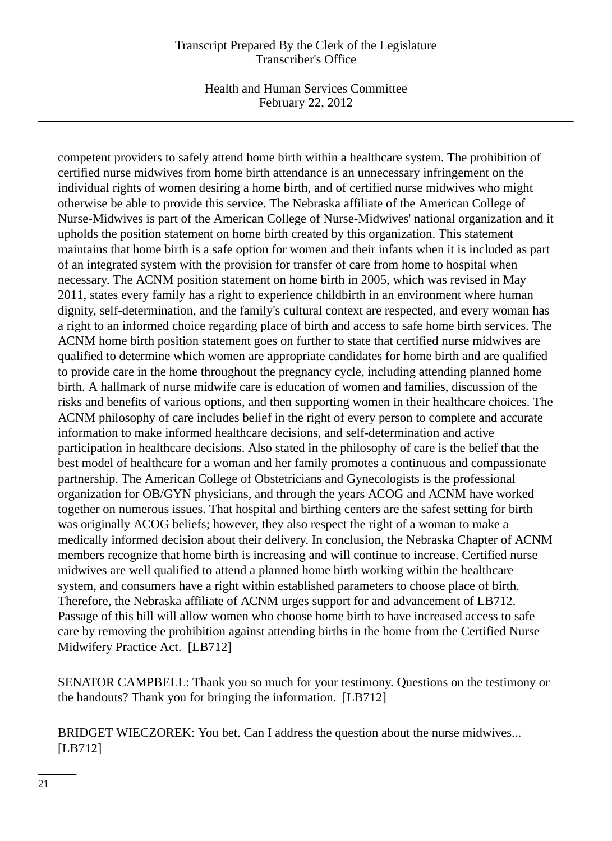Health and Human Services Committee February 22, 2012

competent providers to safely attend home birth within a healthcare system. The prohibition of certified nurse midwives from home birth attendance is an unnecessary infringement on the individual rights of women desiring a home birth, and of certified nurse midwives who might otherwise be able to provide this service. The Nebraska affiliate of the American College of Nurse-Midwives is part of the American College of Nurse-Midwives' national organization and it upholds the position statement on home birth created by this organization. This statement maintains that home birth is a safe option for women and their infants when it is included as part of an integrated system with the provision for transfer of care from home to hospital when necessary. The ACNM position statement on home birth in 2005, which was revised in May 2011, states every family has a right to experience childbirth in an environment where human dignity, self-determination, and the family's cultural context are respected, and every woman has a right to an informed choice regarding place of birth and access to safe home birth services. The ACNM home birth position statement goes on further to state that certified nurse midwives are qualified to determine which women are appropriate candidates for home birth and are qualified to provide care in the home throughout the pregnancy cycle, including attending planned home birth. A hallmark of nurse midwife care is education of women and families, discussion of the risks and benefits of various options, and then supporting women in their healthcare choices. The ACNM philosophy of care includes belief in the right of every person to complete and accurate information to make informed healthcare decisions, and self-determination and active participation in healthcare decisions. Also stated in the philosophy of care is the belief that the best model of healthcare for a woman and her family promotes a continuous and compassionate partnership. The American College of Obstetricians and Gynecologists is the professional organization for OB/GYN physicians, and through the years ACOG and ACNM have worked together on numerous issues. That hospital and birthing centers are the safest setting for birth was originally ACOG beliefs; however, they also respect the right of a woman to make a medically informed decision about their delivery. In conclusion, the Nebraska Chapter of ACNM members recognize that home birth is increasing and will continue to increase. Certified nurse midwives are well qualified to attend a planned home birth working within the healthcare system, and consumers have a right within established parameters to choose place of birth. Therefore, the Nebraska affiliate of ACNM urges support for and advancement of LB712. Passage of this bill will allow women who choose home birth to have increased access to safe care by removing the prohibition against attending births in the home from the Certified Nurse Midwifery Practice Act. [LB712]

SENATOR CAMPBELL: Thank you so much for your testimony. Questions on the testimony or the handouts? Thank you for bringing the information. [LB712]

BRIDGET WIECZOREK: You bet. Can I address the question about the nurse midwives... [LB712]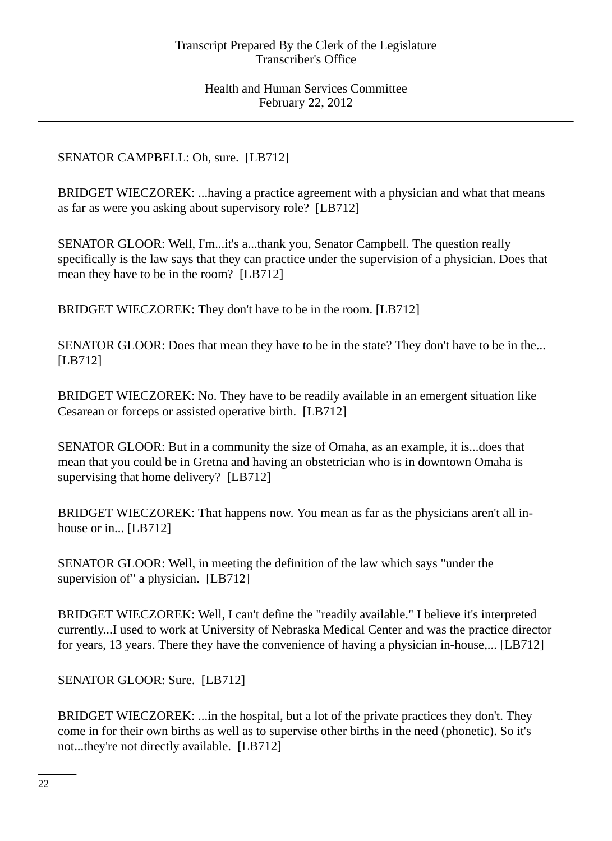## SENATOR CAMPBELL: Oh, sure. [LB712]

BRIDGET WIECZOREK: ...having a practice agreement with a physician and what that means as far as were you asking about supervisory role? [LB712]

SENATOR GLOOR: Well, I'm...it's a...thank you, Senator Campbell. The question really specifically is the law says that they can practice under the supervision of a physician. Does that mean they have to be in the room? [LB712]

BRIDGET WIECZOREK: They don't have to be in the room. [LB712]

SENATOR GLOOR: Does that mean they have to be in the state? They don't have to be in the... [LB712]

BRIDGET WIECZOREK: No. They have to be readily available in an emergent situation like Cesarean or forceps or assisted operative birth. [LB712]

SENATOR GLOOR: But in a community the size of Omaha, as an example, it is...does that mean that you could be in Gretna and having an obstetrician who is in downtown Omaha is supervising that home delivery? [LB712]

BRIDGET WIECZOREK: That happens now. You mean as far as the physicians aren't all inhouse or in... [LB712]

SENATOR GLOOR: Well, in meeting the definition of the law which says "under the supervision of" a physician. [LB712]

BRIDGET WIECZOREK: Well, I can't define the "readily available." I believe it's interpreted currently...I used to work at University of Nebraska Medical Center and was the practice director for years, 13 years. There they have the convenience of having a physician in-house,... [LB712]

SENATOR GLOOR: Sure. [LB712]

BRIDGET WIECZOREK: ...in the hospital, but a lot of the private practices they don't. They come in for their own births as well as to supervise other births in the need (phonetic). So it's not...they're not directly available. [LB712]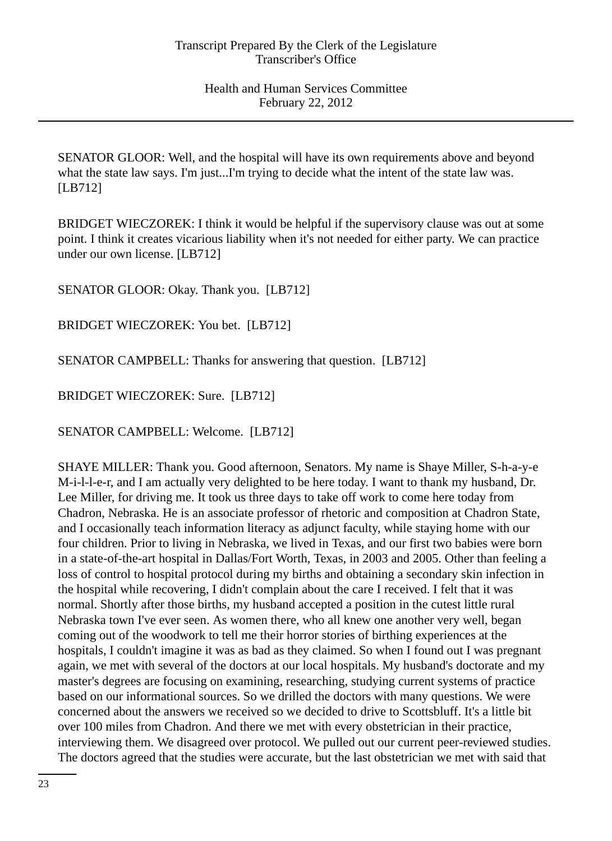SENATOR GLOOR: Well, and the hospital will have its own requirements above and beyond what the state law says. I'm just...I'm trying to decide what the intent of the state law was. [LB712]

BRIDGET WIECZOREK: I think it would be helpful if the supervisory clause was out at some point. I think it creates vicarious liability when it's not needed for either party. We can practice under our own license. [LB712]

SENATOR GLOOR: Okay. Thank you. [LB712]

BRIDGET WIECZOREK: You bet. [LB712]

SENATOR CAMPBELL: Thanks for answering that question. [LB712]

BRIDGET WIECZOREK: Sure. [LB712]

SENATOR CAMPBELL: Welcome. [LB712]

SHAYE MILLER: Thank you. Good afternoon, Senators. My name is Shaye Miller, S-h-a-y-e M-i-l-l-e-r, and I am actually very delighted to be here today. I want to thank my husband, Dr. Lee Miller, for driving me. It took us three days to take off work to come here today from Chadron, Nebraska. He is an associate professor of rhetoric and composition at Chadron State, and I occasionally teach information literacy as adjunct faculty, while staying home with our four children. Prior to living in Nebraska, we lived in Texas, and our first two babies were born in a state-of-the-art hospital in Dallas/Fort Worth, Texas, in 2003 and 2005. Other than feeling a loss of control to hospital protocol during my births and obtaining a secondary skin infection in the hospital while recovering, I didn't complain about the care I received. I felt that it was normal. Shortly after those births, my husband accepted a position in the cutest little rural Nebraska town I've ever seen. As women there, who all knew one another very well, began coming out of the woodwork to tell me their horror stories of birthing experiences at the hospitals, I couldn't imagine it was as bad as they claimed. So when I found out I was pregnant again, we met with several of the doctors at our local hospitals. My husband's doctorate and my master's degrees are focusing on examining, researching, studying current systems of practice based on our informational sources. So we drilled the doctors with many questions. We were concerned about the answers we received so we decided to drive to Scottsbluff. It's a little bit over 100 miles from Chadron. And there we met with every obstetrician in their practice, interviewing them. We disagreed over protocol. We pulled out our current peer-reviewed studies. The doctors agreed that the studies were accurate, but the last obstetrician we met with said that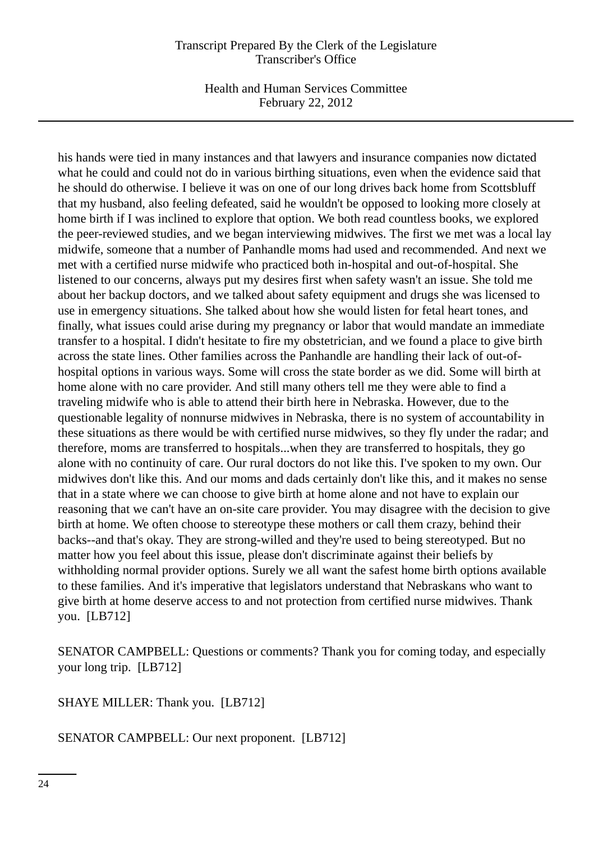Health and Human Services Committee February 22, 2012

his hands were tied in many instances and that lawyers and insurance companies now dictated what he could and could not do in various birthing situations, even when the evidence said that he should do otherwise. I believe it was on one of our long drives back home from Scottsbluff that my husband, also feeling defeated, said he wouldn't be opposed to looking more closely at home birth if I was inclined to explore that option. We both read countless books, we explored the peer-reviewed studies, and we began interviewing midwives. The first we met was a local lay midwife, someone that a number of Panhandle moms had used and recommended. And next we met with a certified nurse midwife who practiced both in-hospital and out-of-hospital. She listened to our concerns, always put my desires first when safety wasn't an issue. She told me about her backup doctors, and we talked about safety equipment and drugs she was licensed to use in emergency situations. She talked about how she would listen for fetal heart tones, and finally, what issues could arise during my pregnancy or labor that would mandate an immediate transfer to a hospital. I didn't hesitate to fire my obstetrician, and we found a place to give birth across the state lines. Other families across the Panhandle are handling their lack of out-ofhospital options in various ways. Some will cross the state border as we did. Some will birth at home alone with no care provider. And still many others tell me they were able to find a traveling midwife who is able to attend their birth here in Nebraska. However, due to the questionable legality of nonnurse midwives in Nebraska, there is no system of accountability in these situations as there would be with certified nurse midwives, so they fly under the radar; and therefore, moms are transferred to hospitals...when they are transferred to hospitals, they go alone with no continuity of care. Our rural doctors do not like this. I've spoken to my own. Our midwives don't like this. And our moms and dads certainly don't like this, and it makes no sense that in a state where we can choose to give birth at home alone and not have to explain our reasoning that we can't have an on-site care provider. You may disagree with the decision to give birth at home. We often choose to stereotype these mothers or call them crazy, behind their backs--and that's okay. They are strong-willed and they're used to being stereotyped. But no matter how you feel about this issue, please don't discriminate against their beliefs by withholding normal provider options. Surely we all want the safest home birth options available to these families. And it's imperative that legislators understand that Nebraskans who want to give birth at home deserve access to and not protection from certified nurse midwives. Thank you. [LB712]

SENATOR CAMPBELL: Questions or comments? Thank you for coming today, and especially your long trip. [LB712]

SHAYE MILLER: Thank you. [LB712]

SENATOR CAMPBELL: Our next proponent. [LB712]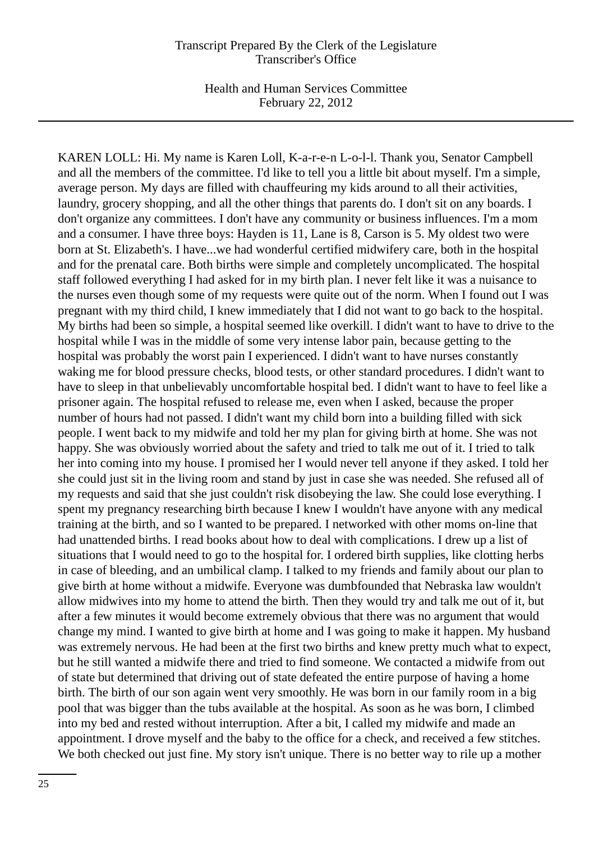KAREN LOLL: Hi. My name is Karen Loll, K-a-r-e-n L-o-l-l. Thank you, Senator Campbell and all the members of the committee. I'd like to tell you a little bit about myself. I'm a simple, average person. My days are filled with chauffeuring my kids around to all their activities, laundry, grocery shopping, and all the other things that parents do. I don't sit on any boards. I don't organize any committees. I don't have any community or business influences. I'm a mom and a consumer. I have three boys: Hayden is 11, Lane is 8, Carson is 5. My oldest two were born at St. Elizabeth's. I have...we had wonderful certified midwifery care, both in the hospital and for the prenatal care. Both births were simple and completely uncomplicated. The hospital staff followed everything I had asked for in my birth plan. I never felt like it was a nuisance to the nurses even though some of my requests were quite out of the norm. When I found out I was pregnant with my third child, I knew immediately that I did not want to go back to the hospital. My births had been so simple, a hospital seemed like overkill. I didn't want to have to drive to the hospital while I was in the middle of some very intense labor pain, because getting to the hospital was probably the worst pain I experienced. I didn't want to have nurses constantly waking me for blood pressure checks, blood tests, or other standard procedures. I didn't want to have to sleep in that unbelievably uncomfortable hospital bed. I didn't want to have to feel like a prisoner again. The hospital refused to release me, even when I asked, because the proper number of hours had not passed. I didn't want my child born into a building filled with sick people. I went back to my midwife and told her my plan for giving birth at home. She was not happy. She was obviously worried about the safety and tried to talk me out of it. I tried to talk her into coming into my house. I promised her I would never tell anyone if they asked. I told her she could just sit in the living room and stand by just in case she was needed. She refused all of my requests and said that she just couldn't risk disobeying the law. She could lose everything. I spent my pregnancy researching birth because I knew I wouldn't have anyone with any medical training at the birth, and so I wanted to be prepared. I networked with other moms on-line that had unattended births. I read books about how to deal with complications. I drew up a list of situations that I would need to go to the hospital for. I ordered birth supplies, like clotting herbs in case of bleeding, and an umbilical clamp. I talked to my friends and family about our plan to give birth at home without a midwife. Everyone was dumbfounded that Nebraska law wouldn't allow midwives into my home to attend the birth. Then they would try and talk me out of it, but after a few minutes it would become extremely obvious that there was no argument that would change my mind. I wanted to give birth at home and I was going to make it happen. My husband was extremely nervous. He had been at the first two births and knew pretty much what to expect, but he still wanted a midwife there and tried to find someone. We contacted a midwife from out of state but determined that driving out of state defeated the entire purpose of having a home birth. The birth of our son again went very smoothly. He was born in our family room in a big pool that was bigger than the tubs available at the hospital. As soon as he was born, I climbed into my bed and rested without interruption. After a bit, I called my midwife and made an appointment. I drove myself and the baby to the office for a check, and received a few stitches. We both checked out just fine. My story isn't unique. There is no better way to rile up a mother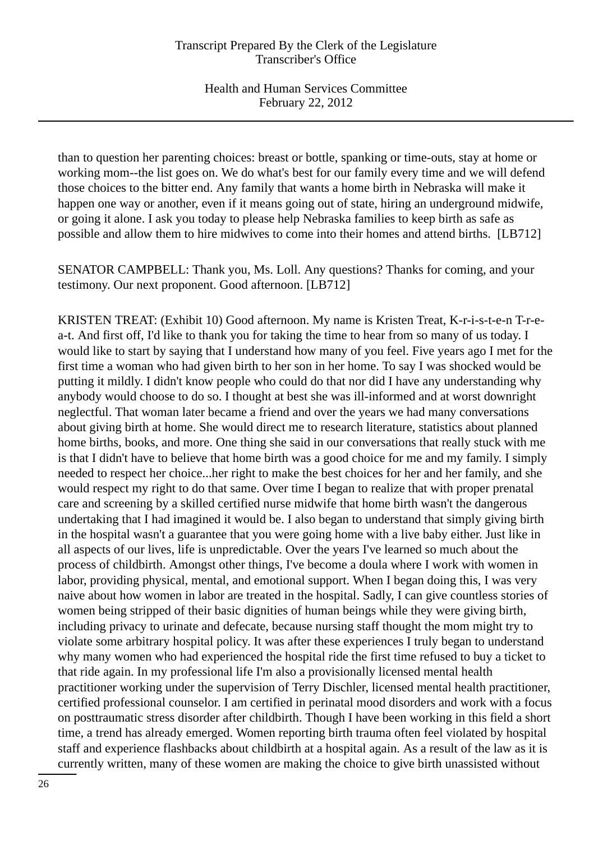than to question her parenting choices: breast or bottle, spanking or time-outs, stay at home or working mom--the list goes on. We do what's best for our family every time and we will defend those choices to the bitter end. Any family that wants a home birth in Nebraska will make it happen one way or another, even if it means going out of state, hiring an underground midwife, or going it alone. I ask you today to please help Nebraska families to keep birth as safe as possible and allow them to hire midwives to come into their homes and attend births. [LB712]

SENATOR CAMPBELL: Thank you, Ms. Loll. Any questions? Thanks for coming, and your testimony. Our next proponent. Good afternoon. [LB712]

KRISTEN TREAT: (Exhibit 10) Good afternoon. My name is Kristen Treat, K-r-i-s-t-e-n T-r-ea-t. And first off, I'd like to thank you for taking the time to hear from so many of us today. I would like to start by saying that I understand how many of you feel. Five years ago I met for the first time a woman who had given birth to her son in her home. To say I was shocked would be putting it mildly. I didn't know people who could do that nor did I have any understanding why anybody would choose to do so. I thought at best she was ill-informed and at worst downright neglectful. That woman later became a friend and over the years we had many conversations about giving birth at home. She would direct me to research literature, statistics about planned home births, books, and more. One thing she said in our conversations that really stuck with me is that I didn't have to believe that home birth was a good choice for me and my family. I simply needed to respect her choice...her right to make the best choices for her and her family, and she would respect my right to do that same. Over time I began to realize that with proper prenatal care and screening by a skilled certified nurse midwife that home birth wasn't the dangerous undertaking that I had imagined it would be. I also began to understand that simply giving birth in the hospital wasn't a guarantee that you were going home with a live baby either. Just like in all aspects of our lives, life is unpredictable. Over the years I've learned so much about the process of childbirth. Amongst other things, I've become a doula where I work with women in labor, providing physical, mental, and emotional support. When I began doing this, I was very naive about how women in labor are treated in the hospital. Sadly, I can give countless stories of women being stripped of their basic dignities of human beings while they were giving birth, including privacy to urinate and defecate, because nursing staff thought the mom might try to violate some arbitrary hospital policy. It was after these experiences I truly began to understand why many women who had experienced the hospital ride the first time refused to buy a ticket to that ride again. In my professional life I'm also a provisionally licensed mental health practitioner working under the supervision of Terry Dischler, licensed mental health practitioner, certified professional counselor. I am certified in perinatal mood disorders and work with a focus on posttraumatic stress disorder after childbirth. Though I have been working in this field a short time, a trend has already emerged. Women reporting birth trauma often feel violated by hospital staff and experience flashbacks about childbirth at a hospital again. As a result of the law as it is currently written, many of these women are making the choice to give birth unassisted without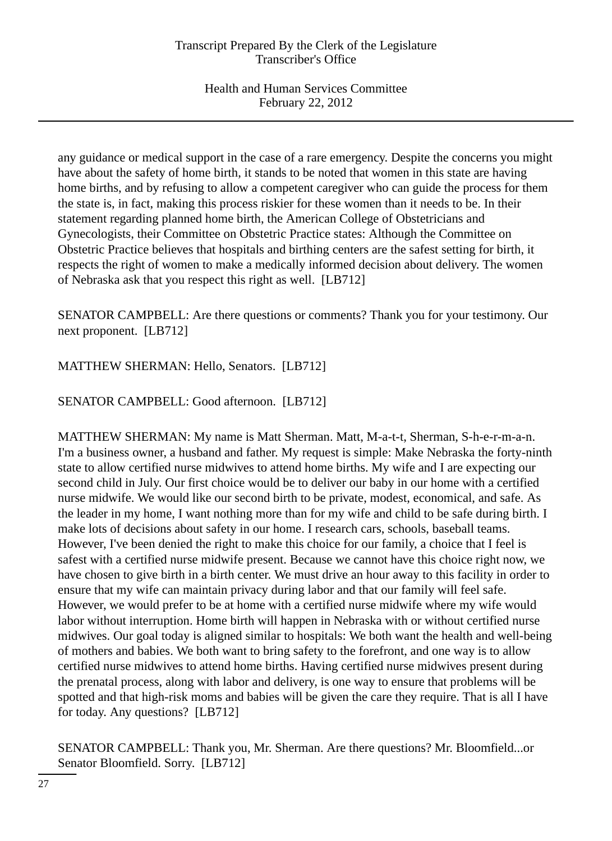any guidance or medical support in the case of a rare emergency. Despite the concerns you might have about the safety of home birth, it stands to be noted that women in this state are having home births, and by refusing to allow a competent caregiver who can guide the process for them the state is, in fact, making this process riskier for these women than it needs to be. In their statement regarding planned home birth, the American College of Obstetricians and Gynecologists, their Committee on Obstetric Practice states: Although the Committee on Obstetric Practice believes that hospitals and birthing centers are the safest setting for birth, it respects the right of women to make a medically informed decision about delivery. The women of Nebraska ask that you respect this right as well. [LB712]

SENATOR CAMPBELL: Are there questions or comments? Thank you for your testimony. Our next proponent. [LB712]

MATTHEW SHERMAN: Hello, Senators. [LB712]

SENATOR CAMPBELL: Good afternoon. [LB712]

MATTHEW SHERMAN: My name is Matt Sherman. Matt, M-a-t-t, Sherman, S-h-e-r-m-a-n. I'm a business owner, a husband and father. My request is simple: Make Nebraska the forty-ninth state to allow certified nurse midwives to attend home births. My wife and I are expecting our second child in July. Our first choice would be to deliver our baby in our home with a certified nurse midwife. We would like our second birth to be private, modest, economical, and safe. As the leader in my home, I want nothing more than for my wife and child to be safe during birth. I make lots of decisions about safety in our home. I research cars, schools, baseball teams. However, I've been denied the right to make this choice for our family, a choice that I feel is safest with a certified nurse midwife present. Because we cannot have this choice right now, we have chosen to give birth in a birth center. We must drive an hour away to this facility in order to ensure that my wife can maintain privacy during labor and that our family will feel safe. However, we would prefer to be at home with a certified nurse midwife where my wife would labor without interruption. Home birth will happen in Nebraska with or without certified nurse midwives. Our goal today is aligned similar to hospitals: We both want the health and well-being of mothers and babies. We both want to bring safety to the forefront, and one way is to allow certified nurse midwives to attend home births. Having certified nurse midwives present during the prenatal process, along with labor and delivery, is one way to ensure that problems will be spotted and that high-risk moms and babies will be given the care they require. That is all I have for today. Any questions? [LB712]

SENATOR CAMPBELL: Thank you, Mr. Sherman. Are there questions? Mr. Bloomfield...or Senator Bloomfield. Sorry. [LB712]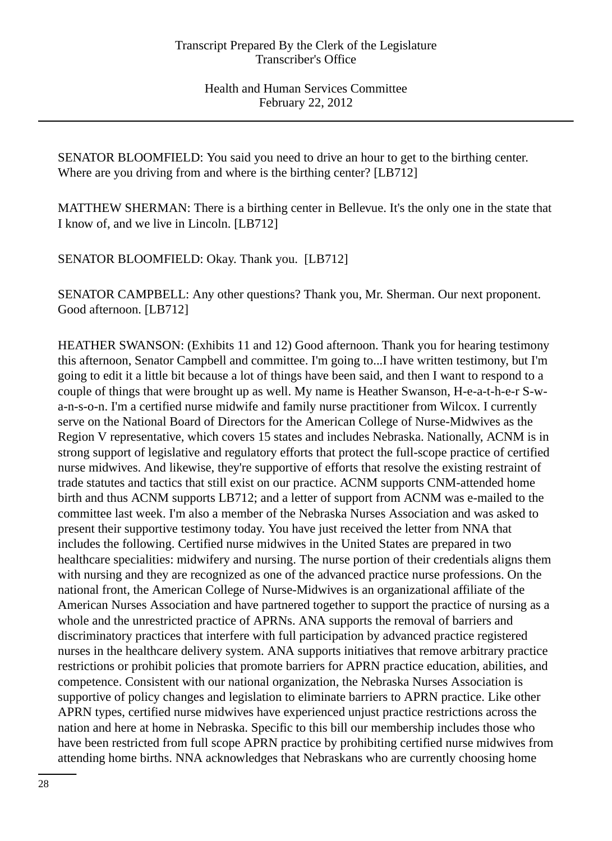SENATOR BLOOMFIELD: You said you need to drive an hour to get to the birthing center. Where are you driving from and where is the birthing center? [LB712]

MATTHEW SHERMAN: There is a birthing center in Bellevue. It's the only one in the state that I know of, and we live in Lincoln. [LB712]

SENATOR BLOOMFIELD: Okay. Thank you. [LB712]

SENATOR CAMPBELL: Any other questions? Thank you, Mr. Sherman. Our next proponent. Good afternoon. [LB712]

HEATHER SWANSON: (Exhibits 11 and 12) Good afternoon. Thank you for hearing testimony this afternoon, Senator Campbell and committee. I'm going to...I have written testimony, but I'm going to edit it a little bit because a lot of things have been said, and then I want to respond to a couple of things that were brought up as well. My name is Heather Swanson, H-e-a-t-h-e-r S-wa-n-s-o-n. I'm a certified nurse midwife and family nurse practitioner from Wilcox. I currently serve on the National Board of Directors for the American College of Nurse-Midwives as the Region V representative, which covers 15 states and includes Nebraska. Nationally, ACNM is in strong support of legislative and regulatory efforts that protect the full-scope practice of certified nurse midwives. And likewise, they're supportive of efforts that resolve the existing restraint of trade statutes and tactics that still exist on our practice. ACNM supports CNM-attended home birth and thus ACNM supports LB712; and a letter of support from ACNM was e-mailed to the committee last week. I'm also a member of the Nebraska Nurses Association and was asked to present their supportive testimony today. You have just received the letter from NNA that includes the following. Certified nurse midwives in the United States are prepared in two healthcare specialities: midwifery and nursing. The nurse portion of their credentials aligns them with nursing and they are recognized as one of the advanced practice nurse professions. On the national front, the American College of Nurse-Midwives is an organizational affiliate of the American Nurses Association and have partnered together to support the practice of nursing as a whole and the unrestricted practice of APRNs. ANA supports the removal of barriers and discriminatory practices that interfere with full participation by advanced practice registered nurses in the healthcare delivery system. ANA supports initiatives that remove arbitrary practice restrictions or prohibit policies that promote barriers for APRN practice education, abilities, and competence. Consistent with our national organization, the Nebraska Nurses Association is supportive of policy changes and legislation to eliminate barriers to APRN practice. Like other APRN types, certified nurse midwives have experienced unjust practice restrictions across the nation and here at home in Nebraska. Specific to this bill our membership includes those who have been restricted from full scope APRN practice by prohibiting certified nurse midwives from attending home births. NNA acknowledges that Nebraskans who are currently choosing home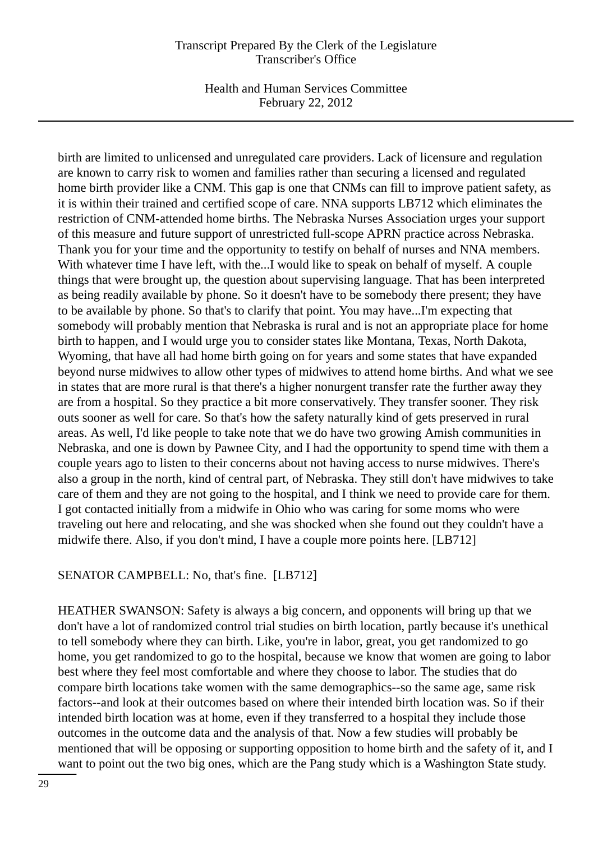Health and Human Services Committee February 22, 2012

birth are limited to unlicensed and unregulated care providers. Lack of licensure and regulation are known to carry risk to women and families rather than securing a licensed and regulated home birth provider like a CNM. This gap is one that CNMs can fill to improve patient safety, as it is within their trained and certified scope of care. NNA supports LB712 which eliminates the restriction of CNM-attended home births. The Nebraska Nurses Association urges your support of this measure and future support of unrestricted full-scope APRN practice across Nebraska. Thank you for your time and the opportunity to testify on behalf of nurses and NNA members. With whatever time I have left, with the...I would like to speak on behalf of myself. A couple things that were brought up, the question about supervising language. That has been interpreted as being readily available by phone. So it doesn't have to be somebody there present; they have to be available by phone. So that's to clarify that point. You may have...I'm expecting that somebody will probably mention that Nebraska is rural and is not an appropriate place for home birth to happen, and I would urge you to consider states like Montana, Texas, North Dakota, Wyoming, that have all had home birth going on for years and some states that have expanded beyond nurse midwives to allow other types of midwives to attend home births. And what we see in states that are more rural is that there's a higher nonurgent transfer rate the further away they are from a hospital. So they practice a bit more conservatively. They transfer sooner. They risk outs sooner as well for care. So that's how the safety naturally kind of gets preserved in rural areas. As well, I'd like people to take note that we do have two growing Amish communities in Nebraska, and one is down by Pawnee City, and I had the opportunity to spend time with them a couple years ago to listen to their concerns about not having access to nurse midwives. There's also a group in the north, kind of central part, of Nebraska. They still don't have midwives to take care of them and they are not going to the hospital, and I think we need to provide care for them. I got contacted initially from a midwife in Ohio who was caring for some moms who were traveling out here and relocating, and she was shocked when she found out they couldn't have a midwife there. Also, if you don't mind, I have a couple more points here. [LB712]

#### SENATOR CAMPBELL: No, that's fine. [LB712]

HEATHER SWANSON: Safety is always a big concern, and opponents will bring up that we don't have a lot of randomized control trial studies on birth location, partly because it's unethical to tell somebody where they can birth. Like, you're in labor, great, you get randomized to go home, you get randomized to go to the hospital, because we know that women are going to labor best where they feel most comfortable and where they choose to labor. The studies that do compare birth locations take women with the same demographics--so the same age, same risk factors--and look at their outcomes based on where their intended birth location was. So if their intended birth location was at home, even if they transferred to a hospital they include those outcomes in the outcome data and the analysis of that. Now a few studies will probably be mentioned that will be opposing or supporting opposition to home birth and the safety of it, and I want to point out the two big ones, which are the Pang study which is a Washington State study.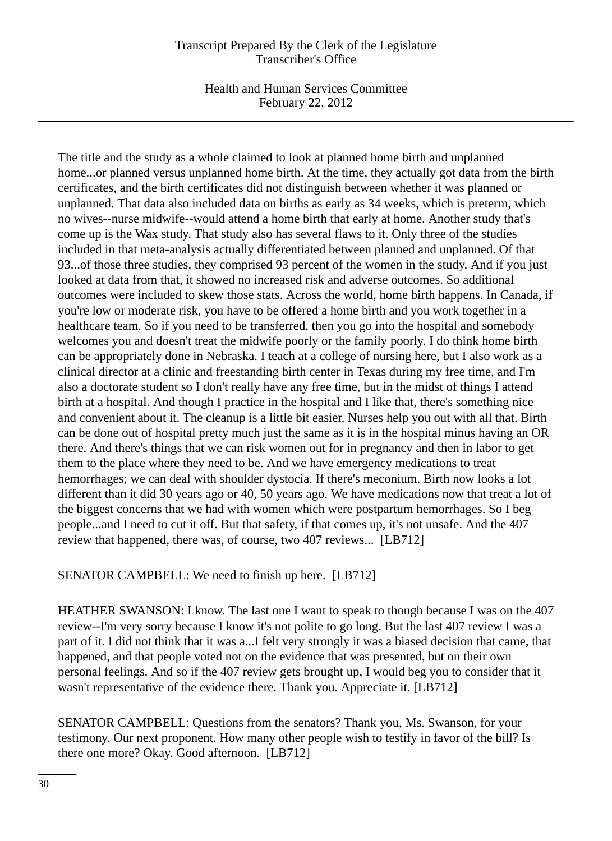Health and Human Services Committee February 22, 2012

The title and the study as a whole claimed to look at planned home birth and unplanned home...or planned versus unplanned home birth. At the time, they actually got data from the birth certificates, and the birth certificates did not distinguish between whether it was planned or unplanned. That data also included data on births as early as 34 weeks, which is preterm, which no wives--nurse midwife--would attend a home birth that early at home. Another study that's come up is the Wax study. That study also has several flaws to it. Only three of the studies included in that meta-analysis actually differentiated between planned and unplanned. Of that 93...of those three studies, they comprised 93 percent of the women in the study. And if you just looked at data from that, it showed no increased risk and adverse outcomes. So additional outcomes were included to skew those stats. Across the world, home birth happens. In Canada, if you're low or moderate risk, you have to be offered a home birth and you work together in a healthcare team. So if you need to be transferred, then you go into the hospital and somebody welcomes you and doesn't treat the midwife poorly or the family poorly. I do think home birth can be appropriately done in Nebraska. I teach at a college of nursing here, but I also work as a clinical director at a clinic and freestanding birth center in Texas during my free time, and I'm also a doctorate student so I don't really have any free time, but in the midst of things I attend birth at a hospital. And though I practice in the hospital and I like that, there's something nice and convenient about it. The cleanup is a little bit easier. Nurses help you out with all that. Birth can be done out of hospital pretty much just the same as it is in the hospital minus having an OR there. And there's things that we can risk women out for in pregnancy and then in labor to get them to the place where they need to be. And we have emergency medications to treat hemorrhages; we can deal with shoulder dystocia. If there's meconium. Birth now looks a lot different than it did 30 years ago or 40, 50 years ago. We have medications now that treat a lot of the biggest concerns that we had with women which were postpartum hemorrhages. So I beg people...and I need to cut it off. But that safety, if that comes up, it's not unsafe. And the 407 review that happened, there was, of course, two 407 reviews... [LB712]

SENATOR CAMPBELL: We need to finish up here. [LB712]

HEATHER SWANSON: I know. The last one I want to speak to though because I was on the 407 review--I'm very sorry because I know it's not polite to go long. But the last 407 review I was a part of it. I did not think that it was a...I felt very strongly it was a biased decision that came, that happened, and that people voted not on the evidence that was presented, but on their own personal feelings. And so if the 407 review gets brought up, I would beg you to consider that it wasn't representative of the evidence there. Thank you. Appreciate it. [LB712]

SENATOR CAMPBELL: Questions from the senators? Thank you, Ms. Swanson, for your testimony. Our next proponent. How many other people wish to testify in favor of the bill? Is there one more? Okay. Good afternoon. [LB712]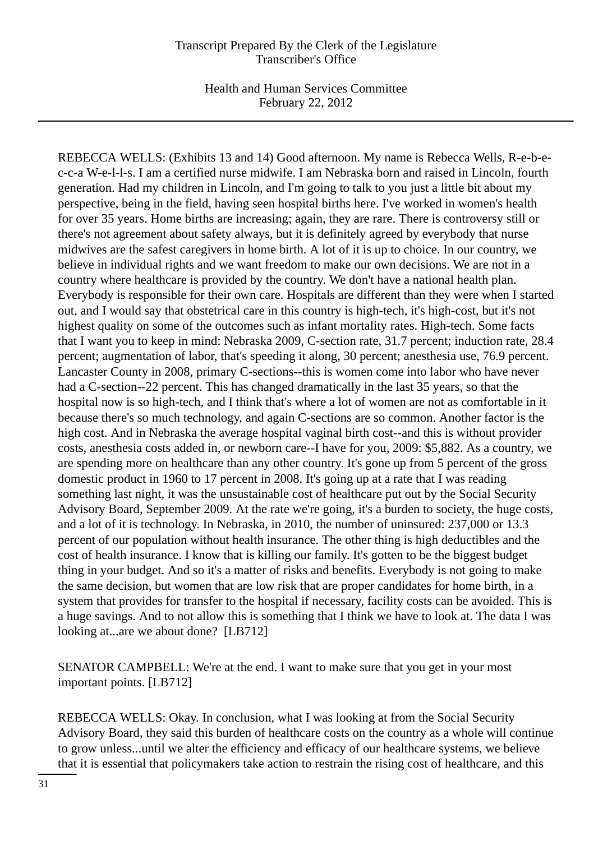Health and Human Services Committee February 22, 2012

REBECCA WELLS: (Exhibits 13 and 14) Good afternoon. My name is Rebecca Wells, R-e-b-ec-c-a W-e-l-l-s. I am a certified nurse midwife. I am Nebraska born and raised in Lincoln, fourth generation. Had my children in Lincoln, and I'm going to talk to you just a little bit about my perspective, being in the field, having seen hospital births here. I've worked in women's health for over 35 years. Home births are increasing; again, they are rare. There is controversy still or there's not agreement about safety always, but it is definitely agreed by everybody that nurse midwives are the safest caregivers in home birth. A lot of it is up to choice. In our country, we believe in individual rights and we want freedom to make our own decisions. We are not in a country where healthcare is provided by the country. We don't have a national health plan. Everybody is responsible for their own care. Hospitals are different than they were when I started out, and I would say that obstetrical care in this country is high-tech, it's high-cost, but it's not highest quality on some of the outcomes such as infant mortality rates. High-tech. Some facts that I want you to keep in mind: Nebraska 2009, C-section rate, 31.7 percent; induction rate, 28.4 percent; augmentation of labor, that's speeding it along, 30 percent; anesthesia use, 76.9 percent. Lancaster County in 2008, primary C-sections--this is women come into labor who have never had a C-section--22 percent. This has changed dramatically in the last 35 years, so that the hospital now is so high-tech, and I think that's where a lot of women are not as comfortable in it because there's so much technology, and again C-sections are so common. Another factor is the high cost. And in Nebraska the average hospital vaginal birth cost--and this is without provider costs, anesthesia costs added in, or newborn care--I have for you, 2009: \$5,882. As a country, we are spending more on healthcare than any other country. It's gone up from 5 percent of the gross domestic product in 1960 to 17 percent in 2008. It's going up at a rate that I was reading something last night, it was the unsustainable cost of healthcare put out by the Social Security Advisory Board, September 2009. At the rate we're going, it's a burden to society, the huge costs, and a lot of it is technology. In Nebraska, in 2010, the number of uninsured: 237,000 or 13.3 percent of our population without health insurance. The other thing is high deductibles and the cost of health insurance. I know that is killing our family. It's gotten to be the biggest budget thing in your budget. And so it's a matter of risks and benefits. Everybody is not going to make the same decision, but women that are low risk that are proper candidates for home birth, in a system that provides for transfer to the hospital if necessary, facility costs can be avoided. This is a huge savings. And to not allow this is something that I think we have to look at. The data I was looking at...are we about done? [LB712]

SENATOR CAMPBELL: We're at the end. I want to make sure that you get in your most important points. [LB712]

REBECCA WELLS: Okay. In conclusion, what I was looking at from the Social Security Advisory Board, they said this burden of healthcare costs on the country as a whole will continue to grow unless...until we alter the efficiency and efficacy of our healthcare systems, we believe that it is essential that policymakers take action to restrain the rising cost of healthcare, and this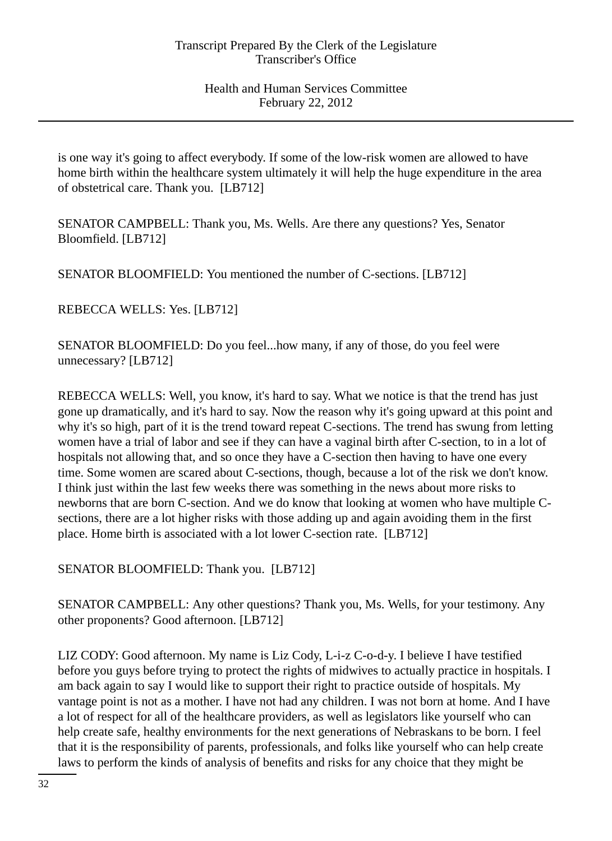is one way it's going to affect everybody. If some of the low-risk women are allowed to have home birth within the healthcare system ultimately it will help the huge expenditure in the area of obstetrical care. Thank you. [LB712]

SENATOR CAMPBELL: Thank you, Ms. Wells. Are there any questions? Yes, Senator Bloomfield. [LB712]

SENATOR BLOOMFIELD: You mentioned the number of C-sections. [LB712]

REBECCA WELLS: Yes. [LB712]

SENATOR BLOOMFIELD: Do you feel...how many, if any of those, do you feel were unnecessary? [LB712]

REBECCA WELLS: Well, you know, it's hard to say. What we notice is that the trend has just gone up dramatically, and it's hard to say. Now the reason why it's going upward at this point and why it's so high, part of it is the trend toward repeat C-sections. The trend has swung from letting women have a trial of labor and see if they can have a vaginal birth after C-section, to in a lot of hospitals not allowing that, and so once they have a C-section then having to have one every time. Some women are scared about C-sections, though, because a lot of the risk we don't know. I think just within the last few weeks there was something in the news about more risks to newborns that are born C-section. And we do know that looking at women who have multiple Csections, there are a lot higher risks with those adding up and again avoiding them in the first place. Home birth is associated with a lot lower C-section rate. [LB712]

SENATOR BLOOMFIELD: Thank you. [LB712]

SENATOR CAMPBELL: Any other questions? Thank you, Ms. Wells, for your testimony. Any other proponents? Good afternoon. [LB712]

LIZ CODY: Good afternoon. My name is Liz Cody, L-i-z C-o-d-y. I believe I have testified before you guys before trying to protect the rights of midwives to actually practice in hospitals. I am back again to say I would like to support their right to practice outside of hospitals. My vantage point is not as a mother. I have not had any children. I was not born at home. And I have a lot of respect for all of the healthcare providers, as well as legislators like yourself who can help create safe, healthy environments for the next generations of Nebraskans to be born. I feel that it is the responsibility of parents, professionals, and folks like yourself who can help create laws to perform the kinds of analysis of benefits and risks for any choice that they might be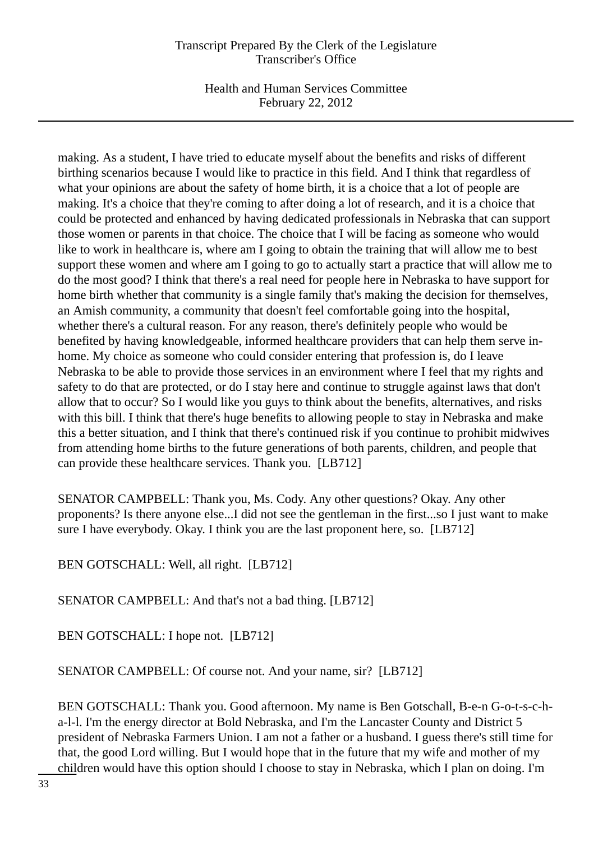Health and Human Services Committee February 22, 2012

making. As a student, I have tried to educate myself about the benefits and risks of different birthing scenarios because I would like to practice in this field. And I think that regardless of what your opinions are about the safety of home birth, it is a choice that a lot of people are making. It's a choice that they're coming to after doing a lot of research, and it is a choice that could be protected and enhanced by having dedicated professionals in Nebraska that can support those women or parents in that choice. The choice that I will be facing as someone who would like to work in healthcare is, where am I going to obtain the training that will allow me to best support these women and where am I going to go to actually start a practice that will allow me to do the most good? I think that there's a real need for people here in Nebraska to have support for home birth whether that community is a single family that's making the decision for themselves, an Amish community, a community that doesn't feel comfortable going into the hospital, whether there's a cultural reason. For any reason, there's definitely people who would be benefited by having knowledgeable, informed healthcare providers that can help them serve inhome. My choice as someone who could consider entering that profession is, do I leave Nebraska to be able to provide those services in an environment where I feel that my rights and safety to do that are protected, or do I stay here and continue to struggle against laws that don't allow that to occur? So I would like you guys to think about the benefits, alternatives, and risks with this bill. I think that there's huge benefits to allowing people to stay in Nebraska and make this a better situation, and I think that there's continued risk if you continue to prohibit midwives from attending home births to the future generations of both parents, children, and people that can provide these healthcare services. Thank you. [LB712]

SENATOR CAMPBELL: Thank you, Ms. Cody. Any other questions? Okay. Any other proponents? Is there anyone else...I did not see the gentleman in the first...so I just want to make sure I have everybody. Okay. I think you are the last proponent here, so. [LB712]

BEN GOTSCHALL: Well, all right. [LB712]

SENATOR CAMPBELL: And that's not a bad thing. [LB712]

BEN GOTSCHALL: I hope not. [LB712]

SENATOR CAMPBELL: Of course not. And your name, sir? [LB712]

BEN GOTSCHALL: Thank you. Good afternoon. My name is Ben Gotschall, B-e-n G-o-t-s-c-ha-l-l. I'm the energy director at Bold Nebraska, and I'm the Lancaster County and District 5 president of Nebraska Farmers Union. I am not a father or a husband. I guess there's still time for that, the good Lord willing. But I would hope that in the future that my wife and mother of my children would have this option should I choose to stay in Nebraska, which I plan on doing. I'm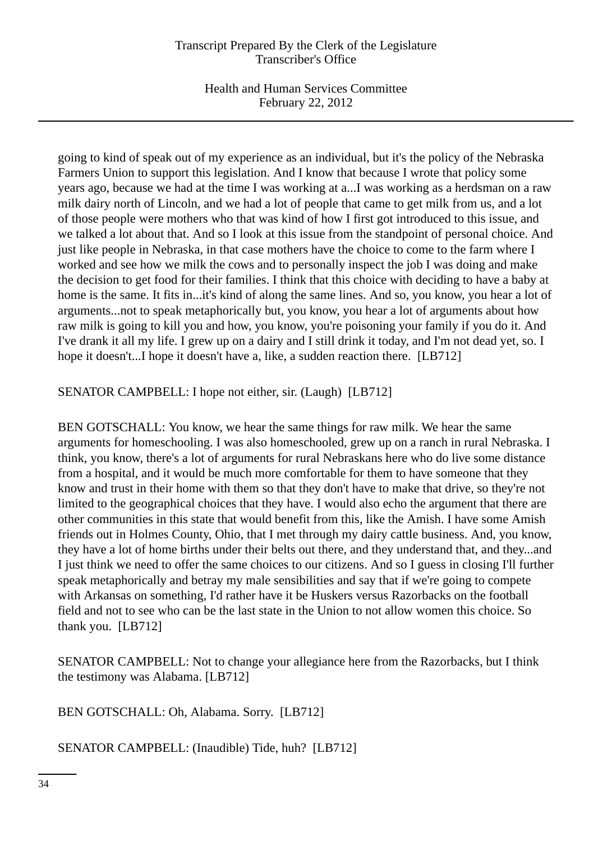Health and Human Services Committee February 22, 2012

going to kind of speak out of my experience as an individual, but it's the policy of the Nebraska Farmers Union to support this legislation. And I know that because I wrote that policy some years ago, because we had at the time I was working at a...I was working as a herdsman on a raw milk dairy north of Lincoln, and we had a lot of people that came to get milk from us, and a lot of those people were mothers who that was kind of how I first got introduced to this issue, and we talked a lot about that. And so I look at this issue from the standpoint of personal choice. And just like people in Nebraska, in that case mothers have the choice to come to the farm where I worked and see how we milk the cows and to personally inspect the job I was doing and make the decision to get food for their families. I think that this choice with deciding to have a baby at home is the same. It fits in...it's kind of along the same lines. And so, you know, you hear a lot of arguments...not to speak metaphorically but, you know, you hear a lot of arguments about how raw milk is going to kill you and how, you know, you're poisoning your family if you do it. And I've drank it all my life. I grew up on a dairy and I still drink it today, and I'm not dead yet, so. I hope it doesn't...I hope it doesn't have a, like, a sudden reaction there. [LB712]

SENATOR CAMPBELL: I hope not either, sir. (Laugh) [LB712]

BEN GOTSCHALL: You know, we hear the same things for raw milk. We hear the same arguments for homeschooling. I was also homeschooled, grew up on a ranch in rural Nebraska. I think, you know, there's a lot of arguments for rural Nebraskans here who do live some distance from a hospital, and it would be much more comfortable for them to have someone that they know and trust in their home with them so that they don't have to make that drive, so they're not limited to the geographical choices that they have. I would also echo the argument that there are other communities in this state that would benefit from this, like the Amish. I have some Amish friends out in Holmes County, Ohio, that I met through my dairy cattle business. And, you know, they have a lot of home births under their belts out there, and they understand that, and they...and I just think we need to offer the same choices to our citizens. And so I guess in closing I'll further speak metaphorically and betray my male sensibilities and say that if we're going to compete with Arkansas on something, I'd rather have it be Huskers versus Razorbacks on the football field and not to see who can be the last state in the Union to not allow women this choice. So thank you. [LB712]

SENATOR CAMPBELL: Not to change your allegiance here from the Razorbacks, but I think the testimony was Alabama. [LB712]

BEN GOTSCHALL: Oh, Alabama. Sorry. [LB712]

SENATOR CAMPBELL: (Inaudible) Tide, huh? [LB712]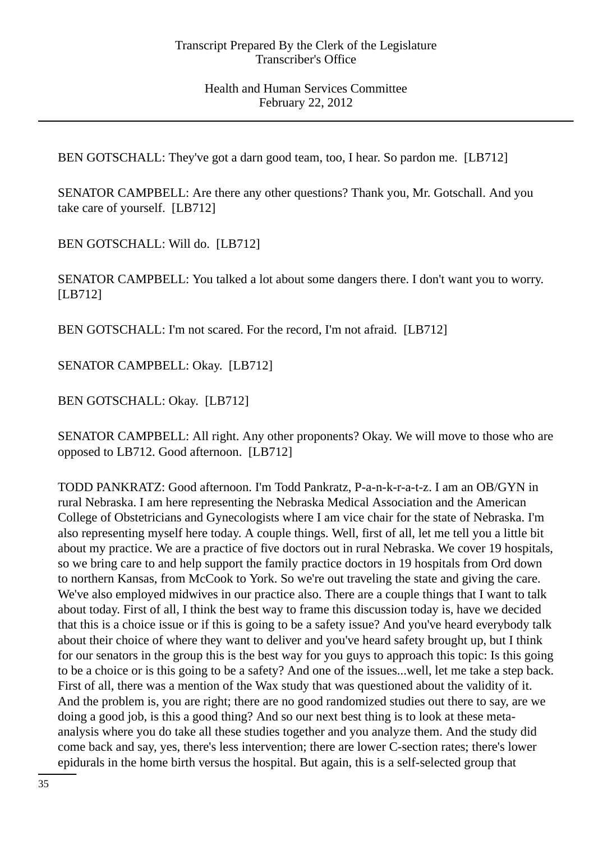BEN GOTSCHALL: They've got a darn good team, too, I hear. So pardon me. [LB712]

SENATOR CAMPBELL: Are there any other questions? Thank you, Mr. Gotschall. And you take care of yourself. [LB712]

BEN GOTSCHALL: Will do. [LB712]

SENATOR CAMPBELL: You talked a lot about some dangers there. I don't want you to worry. [LB712]

BEN GOTSCHALL: I'm not scared. For the record, I'm not afraid. [LB712]

SENATOR CAMPBELL: Okay. [LB712]

BEN GOTSCHALL: Okay. [LB712]

SENATOR CAMPBELL: All right. Any other proponents? Okay. We will move to those who are opposed to LB712. Good afternoon. [LB712]

TODD PANKRATZ: Good afternoon. I'm Todd Pankratz, P-a-n-k-r-a-t-z. I am an OB/GYN in rural Nebraska. I am here representing the Nebraska Medical Association and the American College of Obstetricians and Gynecologists where I am vice chair for the state of Nebraska. I'm also representing myself here today. A couple things. Well, first of all, let me tell you a little bit about my practice. We are a practice of five doctors out in rural Nebraska. We cover 19 hospitals, so we bring care to and help support the family practice doctors in 19 hospitals from Ord down to northern Kansas, from McCook to York. So we're out traveling the state and giving the care. We've also employed midwives in our practice also. There are a couple things that I want to talk about today. First of all, I think the best way to frame this discussion today is, have we decided that this is a choice issue or if this is going to be a safety issue? And you've heard everybody talk about their choice of where they want to deliver and you've heard safety brought up, but I think for our senators in the group this is the best way for you guys to approach this topic: Is this going to be a choice or is this going to be a safety? And one of the issues...well, let me take a step back. First of all, there was a mention of the Wax study that was questioned about the validity of it. And the problem is, you are right; there are no good randomized studies out there to say, are we doing a good job, is this a good thing? And so our next best thing is to look at these metaanalysis where you do take all these studies together and you analyze them. And the study did come back and say, yes, there's less intervention; there are lower C-section rates; there's lower epidurals in the home birth versus the hospital. But again, this is a self-selected group that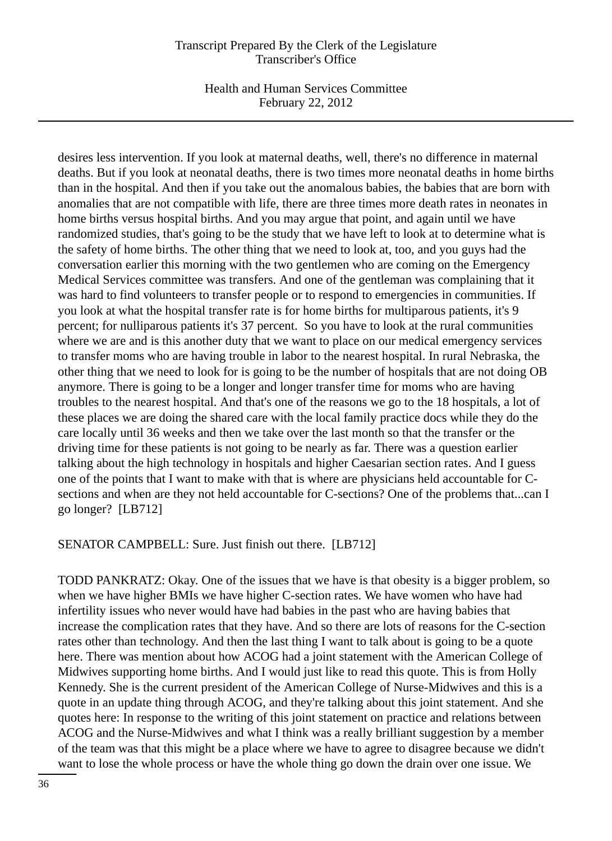Health and Human Services Committee February 22, 2012

desires less intervention. If you look at maternal deaths, well, there's no difference in maternal deaths. But if you look at neonatal deaths, there is two times more neonatal deaths in home births than in the hospital. And then if you take out the anomalous babies, the babies that are born with anomalies that are not compatible with life, there are three times more death rates in neonates in home births versus hospital births. And you may argue that point, and again until we have randomized studies, that's going to be the study that we have left to look at to determine what is the safety of home births. The other thing that we need to look at, too, and you guys had the conversation earlier this morning with the two gentlemen who are coming on the Emergency Medical Services committee was transfers. And one of the gentleman was complaining that it was hard to find volunteers to transfer people or to respond to emergencies in communities. If you look at what the hospital transfer rate is for home births for multiparous patients, it's 9 percent; for nulliparous patients it's 37 percent. So you have to look at the rural communities where we are and is this another duty that we want to place on our medical emergency services to transfer moms who are having trouble in labor to the nearest hospital. In rural Nebraska, the other thing that we need to look for is going to be the number of hospitals that are not doing OB anymore. There is going to be a longer and longer transfer time for moms who are having troubles to the nearest hospital. And that's one of the reasons we go to the 18 hospitals, a lot of these places we are doing the shared care with the local family practice docs while they do the care locally until 36 weeks and then we take over the last month so that the transfer or the driving time for these patients is not going to be nearly as far. There was a question earlier talking about the high technology in hospitals and higher Caesarian section rates. And I guess one of the points that I want to make with that is where are physicians held accountable for Csections and when are they not held accountable for C-sections? One of the problems that...can I go longer? [LB712]

SENATOR CAMPBELL: Sure. Just finish out there. [LB712]

TODD PANKRATZ: Okay. One of the issues that we have is that obesity is a bigger problem, so when we have higher BMIs we have higher C-section rates. We have women who have had infertility issues who never would have had babies in the past who are having babies that increase the complication rates that they have. And so there are lots of reasons for the C-section rates other than technology. And then the last thing I want to talk about is going to be a quote here. There was mention about how ACOG had a joint statement with the American College of Midwives supporting home births. And I would just like to read this quote. This is from Holly Kennedy. She is the current president of the American College of Nurse-Midwives and this is a quote in an update thing through ACOG, and they're talking about this joint statement. And she quotes here: In response to the writing of this joint statement on practice and relations between ACOG and the Nurse-Midwives and what I think was a really brilliant suggestion by a member of the team was that this might be a place where we have to agree to disagree because we didn't want to lose the whole process or have the whole thing go down the drain over one issue. We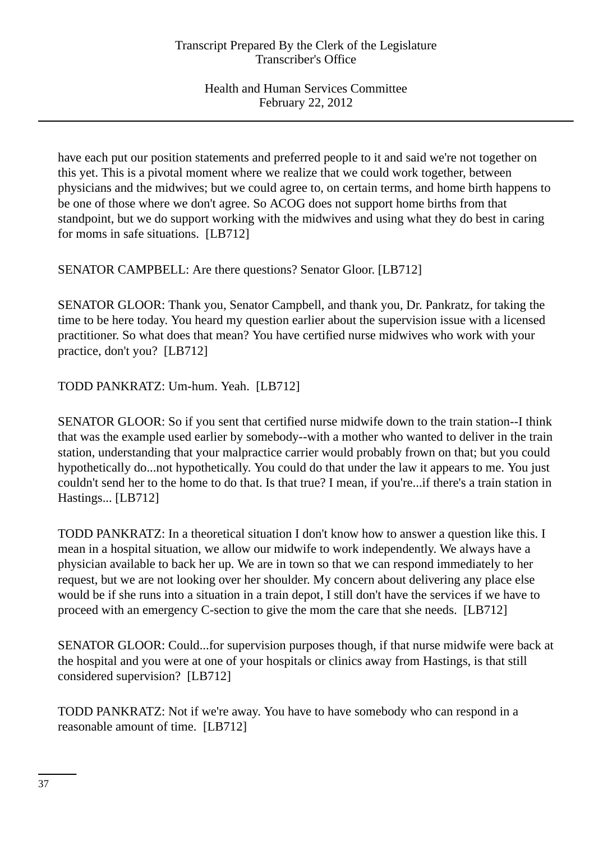have each put our position statements and preferred people to it and said we're not together on this yet. This is a pivotal moment where we realize that we could work together, between physicians and the midwives; but we could agree to, on certain terms, and home birth happens to be one of those where we don't agree. So ACOG does not support home births from that standpoint, but we do support working with the midwives and using what they do best in caring for moms in safe situations. [LB712]

SENATOR CAMPBELL: Are there questions? Senator Gloor. [LB712]

SENATOR GLOOR: Thank you, Senator Campbell, and thank you, Dr. Pankratz, for taking the time to be here today. You heard my question earlier about the supervision issue with a licensed practitioner. So what does that mean? You have certified nurse midwives who work with your practice, don't you? [LB712]

TODD PANKRATZ: Um-hum. Yeah. [LB712]

SENATOR GLOOR: So if you sent that certified nurse midwife down to the train station--I think that was the example used earlier by somebody--with a mother who wanted to deliver in the train station, understanding that your malpractice carrier would probably frown on that; but you could hypothetically do...not hypothetically. You could do that under the law it appears to me. You just couldn't send her to the home to do that. Is that true? I mean, if you're...if there's a train station in Hastings... [LB712]

TODD PANKRATZ: In a theoretical situation I don't know how to answer a question like this. I mean in a hospital situation, we allow our midwife to work independently. We always have a physician available to back her up. We are in town so that we can respond immediately to her request, but we are not looking over her shoulder. My concern about delivering any place else would be if she runs into a situation in a train depot, I still don't have the services if we have to proceed with an emergency C-section to give the mom the care that she needs. [LB712]

SENATOR GLOOR: Could...for supervision purposes though, if that nurse midwife were back at the hospital and you were at one of your hospitals or clinics away from Hastings, is that still considered supervision? [LB712]

TODD PANKRATZ: Not if we're away. You have to have somebody who can respond in a reasonable amount of time. [LB712]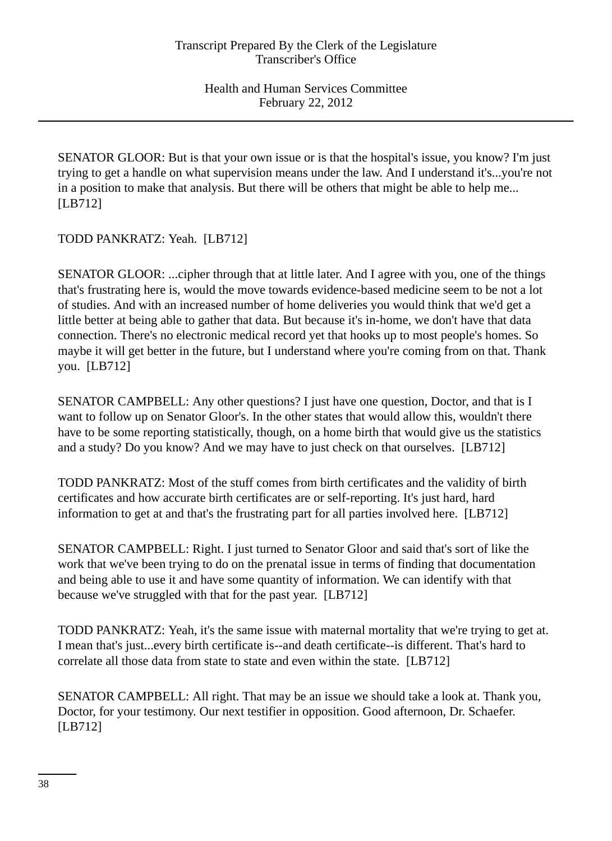SENATOR GLOOR: But is that your own issue or is that the hospital's issue, you know? I'm just trying to get a handle on what supervision means under the law. And I understand it's...you're not in a position to make that analysis. But there will be others that might be able to help me... [LB712]

TODD PANKRATZ: Yeah. [LB712]

SENATOR GLOOR: ...cipher through that at little later. And I agree with you, one of the things that's frustrating here is, would the move towards evidence-based medicine seem to be not a lot of studies. And with an increased number of home deliveries you would think that we'd get a little better at being able to gather that data. But because it's in-home, we don't have that data connection. There's no electronic medical record yet that hooks up to most people's homes. So maybe it will get better in the future, but I understand where you're coming from on that. Thank you. [LB712]

SENATOR CAMPBELL: Any other questions? I just have one question, Doctor, and that is I want to follow up on Senator Gloor's. In the other states that would allow this, wouldn't there have to be some reporting statistically, though, on a home birth that would give us the statistics and a study? Do you know? And we may have to just check on that ourselves. [LB712]

TODD PANKRATZ: Most of the stuff comes from birth certificates and the validity of birth certificates and how accurate birth certificates are or self-reporting. It's just hard, hard information to get at and that's the frustrating part for all parties involved here. [LB712]

SENATOR CAMPBELL: Right. I just turned to Senator Gloor and said that's sort of like the work that we've been trying to do on the prenatal issue in terms of finding that documentation and being able to use it and have some quantity of information. We can identify with that because we've struggled with that for the past year. [LB712]

TODD PANKRATZ: Yeah, it's the same issue with maternal mortality that we're trying to get at. I mean that's just...every birth certificate is--and death certificate--is different. That's hard to correlate all those data from state to state and even within the state. [LB712]

SENATOR CAMPBELL: All right. That may be an issue we should take a look at. Thank you, Doctor, for your testimony. Our next testifier in opposition. Good afternoon, Dr. Schaefer. [LB712]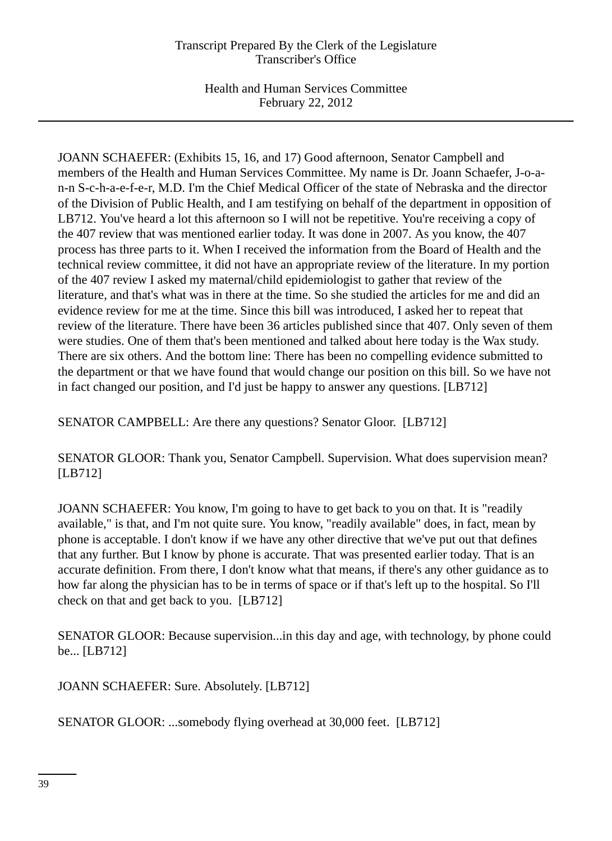Health and Human Services Committee February 22, 2012

JOANN SCHAEFER: (Exhibits 15, 16, and 17) Good afternoon, Senator Campbell and members of the Health and Human Services Committee. My name is Dr. Joann Schaefer, J-o-an-n S-c-h-a-e-f-e-r, M.D. I'm the Chief Medical Officer of the state of Nebraska and the director of the Division of Public Health, and I am testifying on behalf of the department in opposition of LB712. You've heard a lot this afternoon so I will not be repetitive. You're receiving a copy of the 407 review that was mentioned earlier today. It was done in 2007. As you know, the 407 process has three parts to it. When I received the information from the Board of Health and the technical review committee, it did not have an appropriate review of the literature. In my portion of the 407 review I asked my maternal/child epidemiologist to gather that review of the literature, and that's what was in there at the time. So she studied the articles for me and did an evidence review for me at the time. Since this bill was introduced, I asked her to repeat that review of the literature. There have been 36 articles published since that 407. Only seven of them were studies. One of them that's been mentioned and talked about here today is the Wax study. There are six others. And the bottom line: There has been no compelling evidence submitted to the department or that we have found that would change our position on this bill. So we have not in fact changed our position, and I'd just be happy to answer any questions. [LB712]

SENATOR CAMPBELL: Are there any questions? Senator Gloor. [LB712]

SENATOR GLOOR: Thank you, Senator Campbell. Supervision. What does supervision mean? [LB712]

JOANN SCHAEFER: You know, I'm going to have to get back to you on that. It is "readily available," is that, and I'm not quite sure. You know, "readily available" does, in fact, mean by phone is acceptable. I don't know if we have any other directive that we've put out that defines that any further. But I know by phone is accurate. That was presented earlier today. That is an accurate definition. From there, I don't know what that means, if there's any other guidance as to how far along the physician has to be in terms of space or if that's left up to the hospital. So I'll check on that and get back to you. [LB712]

SENATOR GLOOR: Because supervision...in this day and age, with technology, by phone could be... [LB712]

JOANN SCHAEFER: Sure. Absolutely. [LB712]

SENATOR GLOOR: ...somebody flying overhead at 30,000 feet. [LB712]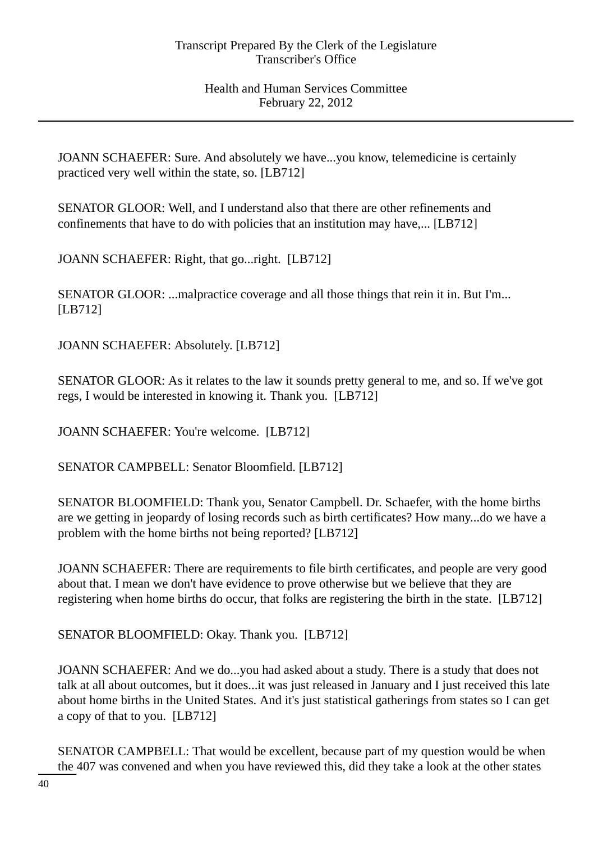JOANN SCHAEFER: Sure. And absolutely we have...you know, telemedicine is certainly practiced very well within the state, so. [LB712]

SENATOR GLOOR: Well, and I understand also that there are other refinements and confinements that have to do with policies that an institution may have,... [LB712]

JOANN SCHAEFER: Right, that go...right. [LB712]

SENATOR GLOOR: ...malpractice coverage and all those things that rein it in. But I'm... [LB712]

JOANN SCHAEFER: Absolutely. [LB712]

SENATOR GLOOR: As it relates to the law it sounds pretty general to me, and so. If we've got regs, I would be interested in knowing it. Thank you. [LB712]

JOANN SCHAEFER: You're welcome. [LB712]

SENATOR CAMPBELL: Senator Bloomfield. [LB712]

SENATOR BLOOMFIELD: Thank you, Senator Campbell. Dr. Schaefer, with the home births are we getting in jeopardy of losing records such as birth certificates? How many...do we have a problem with the home births not being reported? [LB712]

JOANN SCHAEFER: There are requirements to file birth certificates, and people are very good about that. I mean we don't have evidence to prove otherwise but we believe that they are registering when home births do occur, that folks are registering the birth in the state. [LB712]

SENATOR BLOOMFIELD: Okay. Thank you. [LB712]

JOANN SCHAEFER: And we do...you had asked about a study. There is a study that does not talk at all about outcomes, but it does...it was just released in January and I just received this late about home births in the United States. And it's just statistical gatherings from states so I can get a copy of that to you. [LB712]

SENATOR CAMPBELL: That would be excellent, because part of my question would be when the 407 was convened and when you have reviewed this, did they take a look at the other states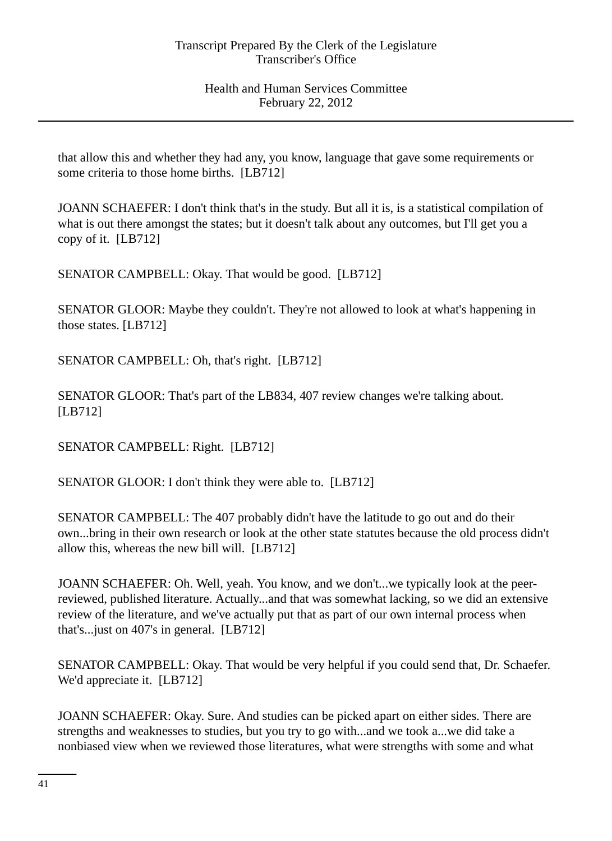that allow this and whether they had any, you know, language that gave some requirements or some criteria to those home births. [LB712]

JOANN SCHAEFER: I don't think that's in the study. But all it is, is a statistical compilation of what is out there amongst the states; but it doesn't talk about any outcomes, but I'll get you a copy of it. [LB712]

SENATOR CAMPBELL: Okay. That would be good. [LB712]

SENATOR GLOOR: Maybe they couldn't. They're not allowed to look at what's happening in those states. [LB712]

SENATOR CAMPBELL: Oh, that's right. [LB712]

SENATOR GLOOR: That's part of the LB834, 407 review changes we're talking about. [LB712]

SENATOR CAMPBELL: Right. [LB712]

SENATOR GLOOR: I don't think they were able to. [LB712]

SENATOR CAMPBELL: The 407 probably didn't have the latitude to go out and do their own...bring in their own research or look at the other state statutes because the old process didn't allow this, whereas the new bill will. [LB712]

JOANN SCHAEFER: Oh. Well, yeah. You know, and we don't...we typically look at the peerreviewed, published literature. Actually...and that was somewhat lacking, so we did an extensive review of the literature, and we've actually put that as part of our own internal process when that's...just on 407's in general. [LB712]

SENATOR CAMPBELL: Okay. That would be very helpful if you could send that, Dr. Schaefer. We'd appreciate it. [LB712]

JOANN SCHAEFER: Okay. Sure. And studies can be picked apart on either sides. There are strengths and weaknesses to studies, but you try to go with...and we took a...we did take a nonbiased view when we reviewed those literatures, what were strengths with some and what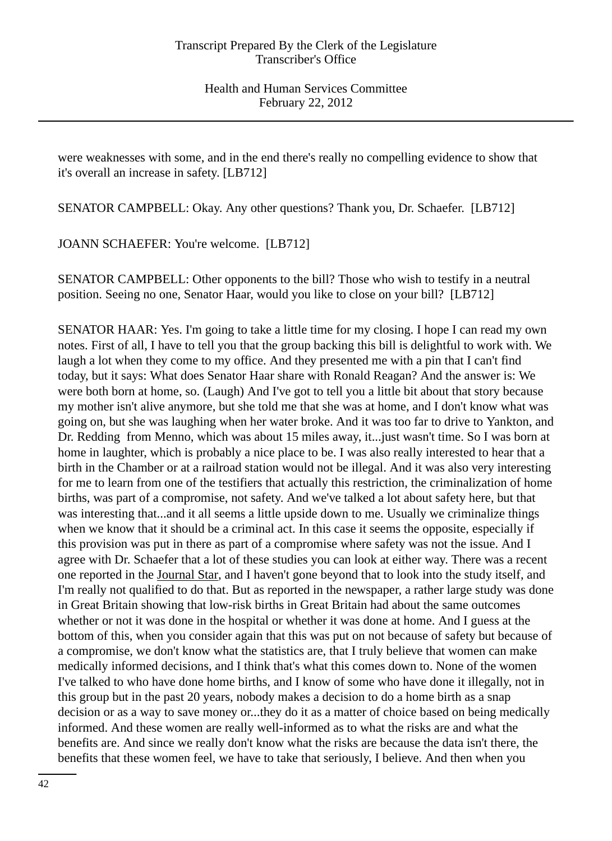were weaknesses with some, and in the end there's really no compelling evidence to show that it's overall an increase in safety. [LB712]

SENATOR CAMPBELL: Okay. Any other questions? Thank you, Dr. Schaefer. [LB712]

JOANN SCHAEFER: You're welcome. [LB712]

SENATOR CAMPBELL: Other opponents to the bill? Those who wish to testify in a neutral position. Seeing no one, Senator Haar, would you like to close on your bill? [LB712]

SENATOR HAAR: Yes. I'm going to take a little time for my closing. I hope I can read my own notes. First of all, I have to tell you that the group backing this bill is delightful to work with. We laugh a lot when they come to my office. And they presented me with a pin that I can't find today, but it says: What does Senator Haar share with Ronald Reagan? And the answer is: We were both born at home, so. (Laugh) And I've got to tell you a little bit about that story because my mother isn't alive anymore, but she told me that she was at home, and I don't know what was going on, but she was laughing when her water broke. And it was too far to drive to Yankton, and Dr. Redding from Menno, which was about 15 miles away, it...just wasn't time. So I was born at home in laughter, which is probably a nice place to be. I was also really interested to hear that a birth in the Chamber or at a railroad station would not be illegal. And it was also very interesting for me to learn from one of the testifiers that actually this restriction, the criminalization of home births, was part of a compromise, not safety. And we've talked a lot about safety here, but that was interesting that...and it all seems a little upside down to me. Usually we criminalize things when we know that it should be a criminal act. In this case it seems the opposite, especially if this provision was put in there as part of a compromise where safety was not the issue. And I agree with Dr. Schaefer that a lot of these studies you can look at either way. There was a recent one reported in the Journal Star, and I haven't gone beyond that to look into the study itself, and I'm really not qualified to do that. But as reported in the newspaper, a rather large study was done in Great Britain showing that low-risk births in Great Britain had about the same outcomes whether or not it was done in the hospital or whether it was done at home. And I guess at the bottom of this, when you consider again that this was put on not because of safety but because of a compromise, we don't know what the statistics are, that I truly believe that women can make medically informed decisions, and I think that's what this comes down to. None of the women I've talked to who have done home births, and I know of some who have done it illegally, not in this group but in the past 20 years, nobody makes a decision to do a home birth as a snap decision or as a way to save money or...they do it as a matter of choice based on being medically informed. And these women are really well-informed as to what the risks are and what the benefits are. And since we really don't know what the risks are because the data isn't there, the benefits that these women feel, we have to take that seriously, I believe. And then when you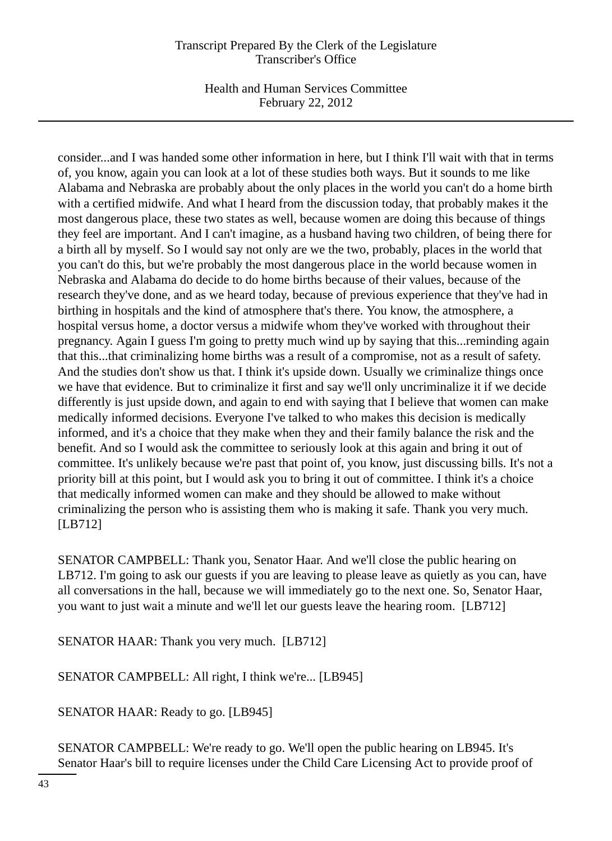Health and Human Services Committee February 22, 2012

consider...and I was handed some other information in here, but I think I'll wait with that in terms of, you know, again you can look at a lot of these studies both ways. But it sounds to me like Alabama and Nebraska are probably about the only places in the world you can't do a home birth with a certified midwife. And what I heard from the discussion today, that probably makes it the most dangerous place, these two states as well, because women are doing this because of things they feel are important. And I can't imagine, as a husband having two children, of being there for a birth all by myself. So I would say not only are we the two, probably, places in the world that you can't do this, but we're probably the most dangerous place in the world because women in Nebraska and Alabama do decide to do home births because of their values, because of the research they've done, and as we heard today, because of previous experience that they've had in birthing in hospitals and the kind of atmosphere that's there. You know, the atmosphere, a hospital versus home, a doctor versus a midwife whom they've worked with throughout their pregnancy. Again I guess I'm going to pretty much wind up by saying that this...reminding again that this...that criminalizing home births was a result of a compromise, not as a result of safety. And the studies don't show us that. I think it's upside down. Usually we criminalize things once we have that evidence. But to criminalize it first and say we'll only uncriminalize it if we decide differently is just upside down, and again to end with saying that I believe that women can make medically informed decisions. Everyone I've talked to who makes this decision is medically informed, and it's a choice that they make when they and their family balance the risk and the benefit. And so I would ask the committee to seriously look at this again and bring it out of committee. It's unlikely because we're past that point of, you know, just discussing bills. It's not a priority bill at this point, but I would ask you to bring it out of committee. I think it's a choice that medically informed women can make and they should be allowed to make without criminalizing the person who is assisting them who is making it safe. Thank you very much. [LB712]

SENATOR CAMPBELL: Thank you, Senator Haar. And we'll close the public hearing on LB712. I'm going to ask our guests if you are leaving to please leave as quietly as you can, have all conversations in the hall, because we will immediately go to the next one. So, Senator Haar, you want to just wait a minute and we'll let our guests leave the hearing room. [LB712]

SENATOR HAAR: Thank you very much. [LB712]

SENATOR CAMPBELL: All right, I think we're... [LB945]

SENATOR HAAR: Ready to go. [LB945]

SENATOR CAMPBELL: We're ready to go. We'll open the public hearing on LB945. It's Senator Haar's bill to require licenses under the Child Care Licensing Act to provide proof of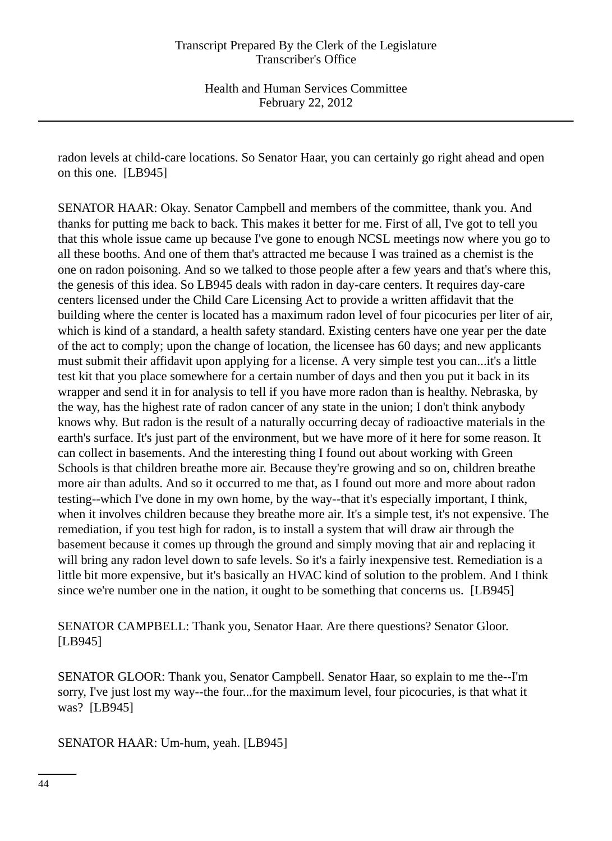radon levels at child-care locations. So Senator Haar, you can certainly go right ahead and open on this one. [LB945]

SENATOR HAAR: Okay. Senator Campbell and members of the committee, thank you. And thanks for putting me back to back. This makes it better for me. First of all, I've got to tell you that this whole issue came up because I've gone to enough NCSL meetings now where you go to all these booths. And one of them that's attracted me because I was trained as a chemist is the one on radon poisoning. And so we talked to those people after a few years and that's where this, the genesis of this idea. So LB945 deals with radon in day-care centers. It requires day-care centers licensed under the Child Care Licensing Act to provide a written affidavit that the building where the center is located has a maximum radon level of four picocuries per liter of air, which is kind of a standard, a health safety standard. Existing centers have one year per the date of the act to comply; upon the change of location, the licensee has 60 days; and new applicants must submit their affidavit upon applying for a license. A very simple test you can...it's a little test kit that you place somewhere for a certain number of days and then you put it back in its wrapper and send it in for analysis to tell if you have more radon than is healthy. Nebraska, by the way, has the highest rate of radon cancer of any state in the union; I don't think anybody knows why. But radon is the result of a naturally occurring decay of radioactive materials in the earth's surface. It's just part of the environment, but we have more of it here for some reason. It can collect in basements. And the interesting thing I found out about working with Green Schools is that children breathe more air. Because they're growing and so on, children breathe more air than adults. And so it occurred to me that, as I found out more and more about radon testing--which I've done in my own home, by the way--that it's especially important, I think, when it involves children because they breathe more air. It's a simple test, it's not expensive. The remediation, if you test high for radon, is to install a system that will draw air through the basement because it comes up through the ground and simply moving that air and replacing it will bring any radon level down to safe levels. So it's a fairly inexpensive test. Remediation is a little bit more expensive, but it's basically an HVAC kind of solution to the problem. And I think since we're number one in the nation, it ought to be something that concerns us. [LB945]

SENATOR CAMPBELL: Thank you, Senator Haar. Are there questions? Senator Gloor. [LB945]

SENATOR GLOOR: Thank you, Senator Campbell. Senator Haar, so explain to me the--I'm sorry, I've just lost my way--the four...for the maximum level, four picocuries, is that what it was? [LB945]

SENATOR HAAR: Um-hum, yeah. [LB945]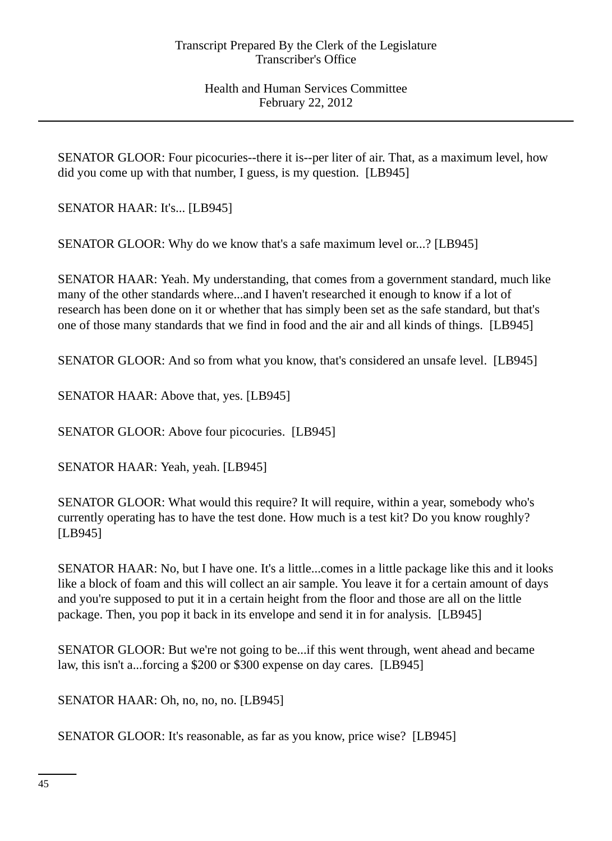SENATOR GLOOR: Four picocuries--there it is--per liter of air. That, as a maximum level, how did you come up with that number, I guess, is my question. [LB945]

SENATOR HAAR: It's... [LB945]

SENATOR GLOOR: Why do we know that's a safe maximum level or...? [LB945]

SENATOR HAAR: Yeah. My understanding, that comes from a government standard, much like many of the other standards where...and I haven't researched it enough to know if a lot of research has been done on it or whether that has simply been set as the safe standard, but that's one of those many standards that we find in food and the air and all kinds of things. [LB945]

SENATOR GLOOR: And so from what you know, that's considered an unsafe level. [LB945]

SENATOR HAAR: Above that, yes. [LB945]

SENATOR GLOOR: Above four picocuries. [LB945]

SENATOR HAAR: Yeah, yeah. [LB945]

SENATOR GLOOR: What would this require? It will require, within a year, somebody who's currently operating has to have the test done. How much is a test kit? Do you know roughly? [LB945]

SENATOR HAAR: No, but I have one. It's a little...comes in a little package like this and it looks like a block of foam and this will collect an air sample. You leave it for a certain amount of days and you're supposed to put it in a certain height from the floor and those are all on the little package. Then, you pop it back in its envelope and send it in for analysis. [LB945]

SENATOR GLOOR: But we're not going to be...if this went through, went ahead and became law, this isn't a...forcing a \$200 or \$300 expense on day cares. [LB945]

SENATOR HAAR: Oh, no, no, no. [LB945]

SENATOR GLOOR: It's reasonable, as far as you know, price wise? [LB945]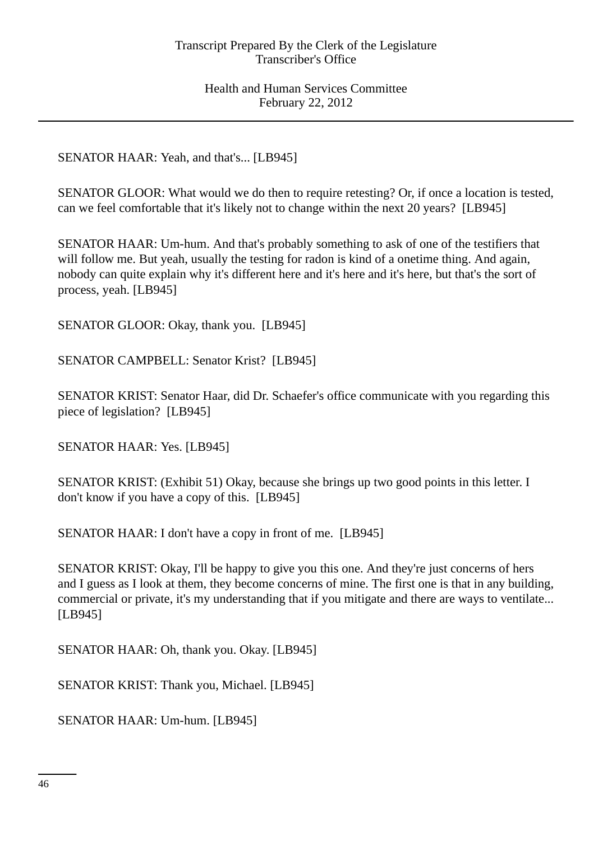SENATOR HAAR: Yeah, and that's... [LB945]

SENATOR GLOOR: What would we do then to require retesting? Or, if once a location is tested, can we feel comfortable that it's likely not to change within the next 20 years? [LB945]

SENATOR HAAR: Um-hum. And that's probably something to ask of one of the testifiers that will follow me. But yeah, usually the testing for radon is kind of a onetime thing. And again, nobody can quite explain why it's different here and it's here and it's here, but that's the sort of process, yeah. [LB945]

SENATOR GLOOR: Okay, thank you. [LB945]

SENATOR CAMPBELL: Senator Krist? [LB945]

SENATOR KRIST: Senator Haar, did Dr. Schaefer's office communicate with you regarding this piece of legislation? [LB945]

SENATOR HAAR: Yes. [LB945]

SENATOR KRIST: (Exhibit 51) Okay, because she brings up two good points in this letter. I don't know if you have a copy of this. [LB945]

SENATOR HAAR: I don't have a copy in front of me. [LB945]

SENATOR KRIST: Okay, I'll be happy to give you this one. And they're just concerns of hers and I guess as I look at them, they become concerns of mine. The first one is that in any building, commercial or private, it's my understanding that if you mitigate and there are ways to ventilate... [LB945]

SENATOR HAAR: Oh, thank you. Okay. [LB945]

SENATOR KRIST: Thank you, Michael. [LB945]

SENATOR HAAR: Um-hum. [LB945]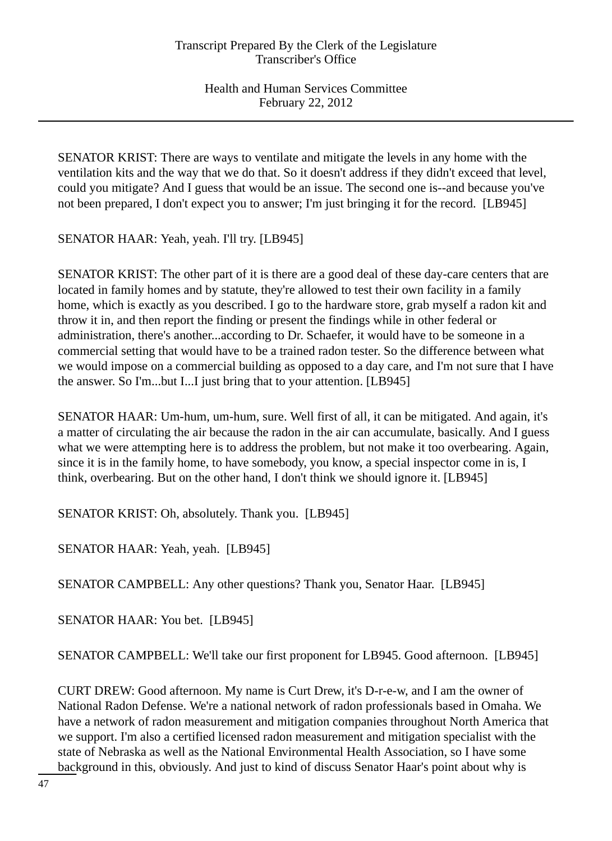SENATOR KRIST: There are ways to ventilate and mitigate the levels in any home with the ventilation kits and the way that we do that. So it doesn't address if they didn't exceed that level, could you mitigate? And I guess that would be an issue. The second one is--and because you've not been prepared, I don't expect you to answer; I'm just bringing it for the record. [LB945]

SENATOR HAAR: Yeah, yeah. I'll try. [LB945]

SENATOR KRIST: The other part of it is there are a good deal of these day-care centers that are located in family homes and by statute, they're allowed to test their own facility in a family home, which is exactly as you described. I go to the hardware store, grab myself a radon kit and throw it in, and then report the finding or present the findings while in other federal or administration, there's another...according to Dr. Schaefer, it would have to be someone in a commercial setting that would have to be a trained radon tester. So the difference between what we would impose on a commercial building as opposed to a day care, and I'm not sure that I have the answer. So I'm...but I...I just bring that to your attention. [LB945]

SENATOR HAAR: Um-hum, um-hum, sure. Well first of all, it can be mitigated. And again, it's a matter of circulating the air because the radon in the air can accumulate, basically. And I guess what we were attempting here is to address the problem, but not make it too overbearing. Again, since it is in the family home, to have somebody, you know, a special inspector come in is, I think, overbearing. But on the other hand, I don't think we should ignore it. [LB945]

SENATOR KRIST: Oh, absolutely. Thank you. [LB945]

SENATOR HAAR: Yeah, yeah. [LB945]

SENATOR CAMPBELL: Any other questions? Thank you, Senator Haar. [LB945]

SENATOR HAAR: You bet. [LB945]

SENATOR CAMPBELL: We'll take our first proponent for LB945. Good afternoon. [LB945]

CURT DREW: Good afternoon. My name is Curt Drew, it's D-r-e-w, and I am the owner of National Radon Defense. We're a national network of radon professionals based in Omaha. We have a network of radon measurement and mitigation companies throughout North America that we support. I'm also a certified licensed radon measurement and mitigation specialist with the state of Nebraska as well as the National Environmental Health Association, so I have some background in this, obviously. And just to kind of discuss Senator Haar's point about why is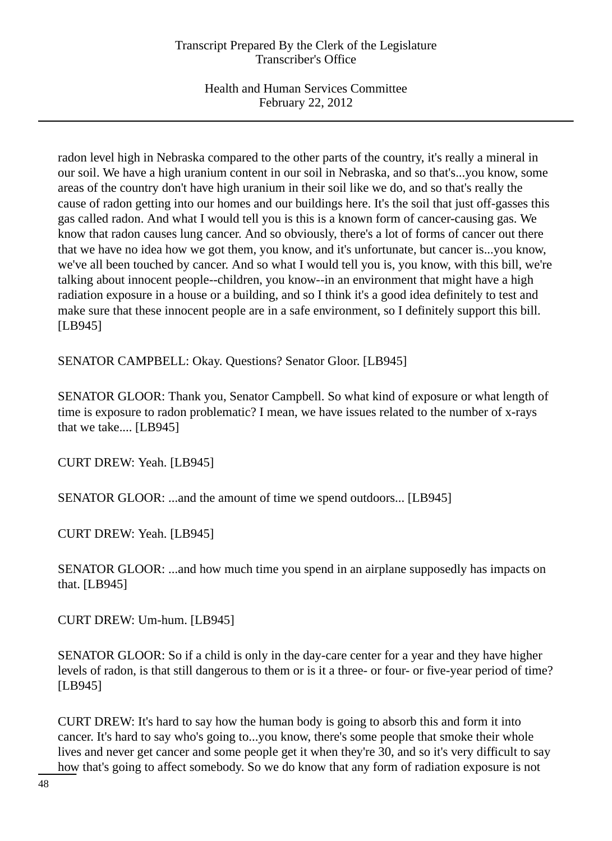radon level high in Nebraska compared to the other parts of the country, it's really a mineral in our soil. We have a high uranium content in our soil in Nebraska, and so that's...you know, some areas of the country don't have high uranium in their soil like we do, and so that's really the cause of radon getting into our homes and our buildings here. It's the soil that just off-gasses this gas called radon. And what I would tell you is this is a known form of cancer-causing gas. We know that radon causes lung cancer. And so obviously, there's a lot of forms of cancer out there that we have no idea how we got them, you know, and it's unfortunate, but cancer is...you know, we've all been touched by cancer. And so what I would tell you is, you know, with this bill, we're talking about innocent people--children, you know--in an environment that might have a high radiation exposure in a house or a building, and so I think it's a good idea definitely to test and make sure that these innocent people are in a safe environment, so I definitely support this bill. [LB945]

SENATOR CAMPBELL: Okay. Questions? Senator Gloor. [LB945]

SENATOR GLOOR: Thank you, Senator Campbell. So what kind of exposure or what length of time is exposure to radon problematic? I mean, we have issues related to the number of x-rays that we take.... [LB945]

CURT DREW: Yeah. [LB945]

SENATOR GLOOR: ...and the amount of time we spend outdoors... [LB945]

CURT DREW: Yeah. [LB945]

SENATOR GLOOR: ...and how much time you spend in an airplane supposedly has impacts on that. [LB945]

CURT DREW: Um-hum. [LB945]

SENATOR GLOOR: So if a child is only in the day-care center for a year and they have higher levels of radon, is that still dangerous to them or is it a three- or four- or five-year period of time? [LB945]

CURT DREW: It's hard to say how the human body is going to absorb this and form it into cancer. It's hard to say who's going to...you know, there's some people that smoke their whole lives and never get cancer and some people get it when they're 30, and so it's very difficult to say how that's going to affect somebody. So we do know that any form of radiation exposure is not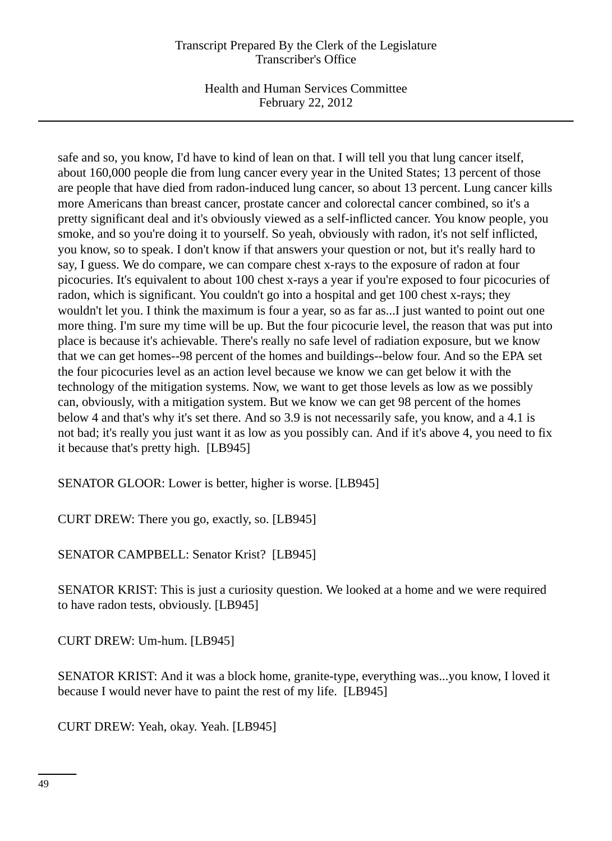Health and Human Services Committee February 22, 2012

safe and so, you know, I'd have to kind of lean on that. I will tell you that lung cancer itself, about 160,000 people die from lung cancer every year in the United States; 13 percent of those are people that have died from radon-induced lung cancer, so about 13 percent. Lung cancer kills more Americans than breast cancer, prostate cancer and colorectal cancer combined, so it's a pretty significant deal and it's obviously viewed as a self-inflicted cancer. You know people, you smoke, and so you're doing it to yourself. So yeah, obviously with radon, it's not self inflicted, you know, so to speak. I don't know if that answers your question or not, but it's really hard to say, I guess. We do compare, we can compare chest x-rays to the exposure of radon at four picocuries. It's equivalent to about 100 chest x-rays a year if you're exposed to four picocuries of radon, which is significant. You couldn't go into a hospital and get 100 chest x-rays; they wouldn't let you. I think the maximum is four a year, so as far as...I just wanted to point out one more thing. I'm sure my time will be up. But the four picocurie level, the reason that was put into place is because it's achievable. There's really no safe level of radiation exposure, but we know that we can get homes--98 percent of the homes and buildings--below four. And so the EPA set the four picocuries level as an action level because we know we can get below it with the technology of the mitigation systems. Now, we want to get those levels as low as we possibly can, obviously, with a mitigation system. But we know we can get 98 percent of the homes below 4 and that's why it's set there. And so 3.9 is not necessarily safe, you know, and a 4.1 is not bad; it's really you just want it as low as you possibly can. And if it's above 4, you need to fix it because that's pretty high. [LB945]

SENATOR GLOOR: Lower is better, higher is worse. [LB945]

CURT DREW: There you go, exactly, so. [LB945]

SENATOR CAMPBELL: Senator Krist? [LB945]

SENATOR KRIST: This is just a curiosity question. We looked at a home and we were required to have radon tests, obviously. [LB945]

CURT DREW: Um-hum. [LB945]

SENATOR KRIST: And it was a block home, granite-type, everything was...you know, I loved it because I would never have to paint the rest of my life. [LB945]

CURT DREW: Yeah, okay. Yeah. [LB945]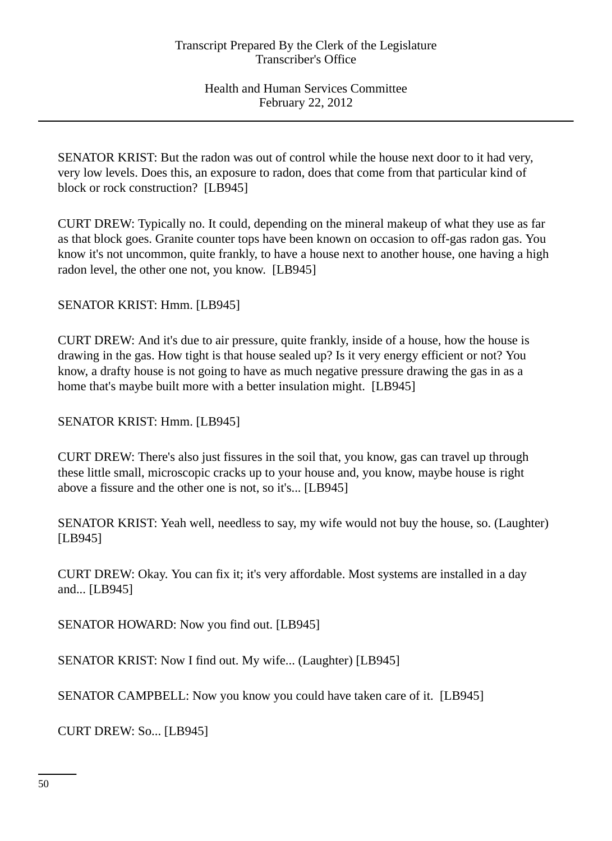SENATOR KRIST: But the radon was out of control while the house next door to it had very, very low levels. Does this, an exposure to radon, does that come from that particular kind of block or rock construction? [LB945]

CURT DREW: Typically no. It could, depending on the mineral makeup of what they use as far as that block goes. Granite counter tops have been known on occasion to off-gas radon gas. You know it's not uncommon, quite frankly, to have a house next to another house, one having a high radon level, the other one not, you know. [LB945]

SENATOR KRIST: Hmm. [LB945]

CURT DREW: And it's due to air pressure, quite frankly, inside of a house, how the house is drawing in the gas. How tight is that house sealed up? Is it very energy efficient or not? You know, a drafty house is not going to have as much negative pressure drawing the gas in as a home that's maybe built more with a better insulation might. [LB945]

SENATOR KRIST: Hmm. [LB945]

CURT DREW: There's also just fissures in the soil that, you know, gas can travel up through these little small, microscopic cracks up to your house and, you know, maybe house is right above a fissure and the other one is not, so it's... [LB945]

SENATOR KRIST: Yeah well, needless to say, my wife would not buy the house, so. (Laughter) [LB945]

CURT DREW: Okay. You can fix it; it's very affordable. Most systems are installed in a day and... [LB945]

SENATOR HOWARD: Now you find out. [LB945]

SENATOR KRIST: Now I find out. My wife... (Laughter) [LB945]

SENATOR CAMPBELL: Now you know you could have taken care of it. [LB945]

CURT DREW: So... [LB945]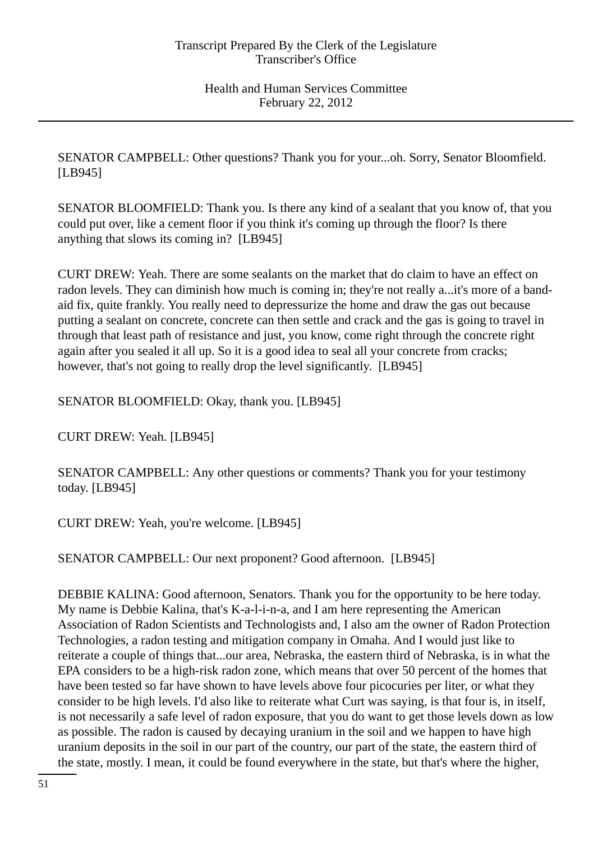SENATOR CAMPBELL: Other questions? Thank you for your...oh. Sorry, Senator Bloomfield. [LB945]

SENATOR BLOOMFIELD: Thank you. Is there any kind of a sealant that you know of, that you could put over, like a cement floor if you think it's coming up through the floor? Is there anything that slows its coming in? [LB945]

CURT DREW: Yeah. There are some sealants on the market that do claim to have an effect on radon levels. They can diminish how much is coming in; they're not really a...it's more of a bandaid fix, quite frankly. You really need to depressurize the home and draw the gas out because putting a sealant on concrete, concrete can then settle and crack and the gas is going to travel in through that least path of resistance and just, you know, come right through the concrete right again after you sealed it all up. So it is a good idea to seal all your concrete from cracks; however, that's not going to really drop the level significantly. [LB945]

SENATOR BLOOMFIELD: Okay, thank you. [LB945]

CURT DREW: Yeah. [LB945]

SENATOR CAMPBELL: Any other questions or comments? Thank you for your testimony today. [LB945]

CURT DREW: Yeah, you're welcome. [LB945]

SENATOR CAMPBELL: Our next proponent? Good afternoon. [LB945]

DEBBIE KALINA: Good afternoon, Senators. Thank you for the opportunity to be here today. My name is Debbie Kalina, that's K-a-l-i-n-a, and I am here representing the American Association of Radon Scientists and Technologists and, I also am the owner of Radon Protection Technologies, a radon testing and mitigation company in Omaha. And I would just like to reiterate a couple of things that...our area, Nebraska, the eastern third of Nebraska, is in what the EPA considers to be a high-risk radon zone, which means that over 50 percent of the homes that have been tested so far have shown to have levels above four picocuries per liter, or what they consider to be high levels. I'd also like to reiterate what Curt was saying, is that four is, in itself, is not necessarily a safe level of radon exposure, that you do want to get those levels down as low as possible. The radon is caused by decaying uranium in the soil and we happen to have high uranium deposits in the soil in our part of the country, our part of the state, the eastern third of the state, mostly. I mean, it could be found everywhere in the state, but that's where the higher,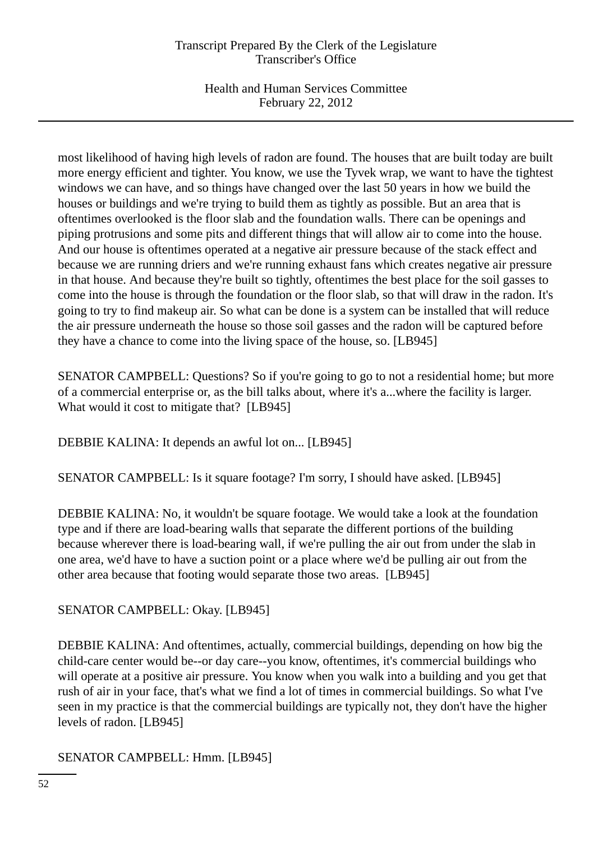Health and Human Services Committee February 22, 2012

most likelihood of having high levels of radon are found. The houses that are built today are built more energy efficient and tighter. You know, we use the Tyvek wrap, we want to have the tightest windows we can have, and so things have changed over the last 50 years in how we build the houses or buildings and we're trying to build them as tightly as possible. But an area that is oftentimes overlooked is the floor slab and the foundation walls. There can be openings and piping protrusions and some pits and different things that will allow air to come into the house. And our house is oftentimes operated at a negative air pressure because of the stack effect and because we are running driers and we're running exhaust fans which creates negative air pressure in that house. And because they're built so tightly, oftentimes the best place for the soil gasses to come into the house is through the foundation or the floor slab, so that will draw in the radon. It's going to try to find makeup air. So what can be done is a system can be installed that will reduce the air pressure underneath the house so those soil gasses and the radon will be captured before they have a chance to come into the living space of the house, so. [LB945]

SENATOR CAMPBELL: Questions? So if you're going to go to not a residential home; but more of a commercial enterprise or, as the bill talks about, where it's a...where the facility is larger. What would it cost to mitigate that? [LB945]

DEBBIE KALINA: It depends an awful lot on... [LB945]

SENATOR CAMPBELL: Is it square footage? I'm sorry, I should have asked. [LB945]

DEBBIE KALINA: No, it wouldn't be square footage. We would take a look at the foundation type and if there are load-bearing walls that separate the different portions of the building because wherever there is load-bearing wall, if we're pulling the air out from under the slab in one area, we'd have to have a suction point or a place where we'd be pulling air out from the other area because that footing would separate those two areas. [LB945]

SENATOR CAMPBELL: Okay. [LB945]

DEBBIE KALINA: And oftentimes, actually, commercial buildings, depending on how big the child-care center would be--or day care--you know, oftentimes, it's commercial buildings who will operate at a positive air pressure. You know when you walk into a building and you get that rush of air in your face, that's what we find a lot of times in commercial buildings. So what I've seen in my practice is that the commercial buildings are typically not, they don't have the higher levels of radon. [LB945]

SENATOR CAMPBELL: Hmm. [LB945]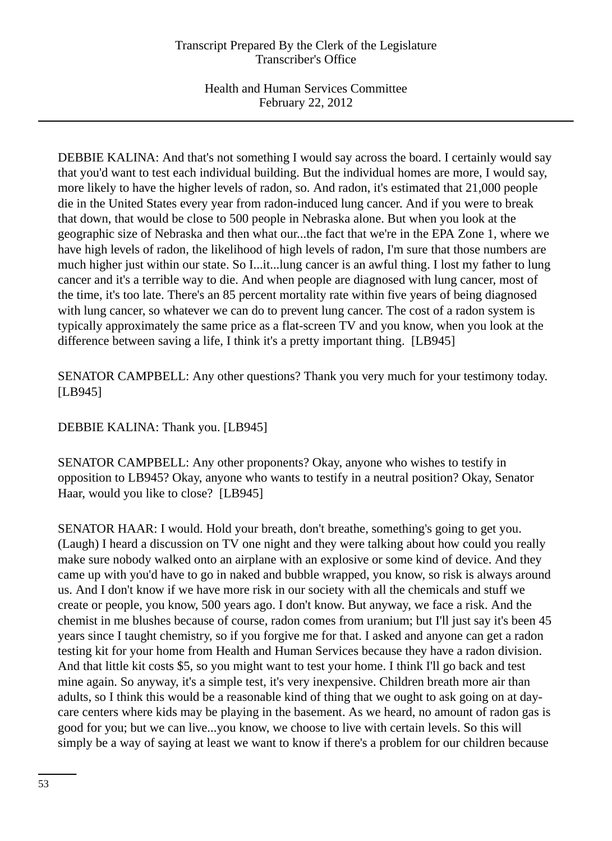DEBBIE KALINA: And that's not something I would say across the board. I certainly would say that you'd want to test each individual building. But the individual homes are more, I would say, more likely to have the higher levels of radon, so. And radon, it's estimated that 21,000 people die in the United States every year from radon-induced lung cancer. And if you were to break that down, that would be close to 500 people in Nebraska alone. But when you look at the geographic size of Nebraska and then what our...the fact that we're in the EPA Zone 1, where we have high levels of radon, the likelihood of high levels of radon, I'm sure that those numbers are much higher just within our state. So I...it...lung cancer is an awful thing. I lost my father to lung cancer and it's a terrible way to die. And when people are diagnosed with lung cancer, most of the time, it's too late. There's an 85 percent mortality rate within five years of being diagnosed with lung cancer, so whatever we can do to prevent lung cancer. The cost of a radon system is typically approximately the same price as a flat-screen TV and you know, when you look at the difference between saving a life, I think it's a pretty important thing. [LB945]

SENATOR CAMPBELL: Any other questions? Thank you very much for your testimony today. [LB945]

DEBBIE KALINA: Thank you. [LB945]

SENATOR CAMPBELL: Any other proponents? Okay, anyone who wishes to testify in opposition to LB945? Okay, anyone who wants to testify in a neutral position? Okay, Senator Haar, would you like to close? [LB945]

SENATOR HAAR: I would. Hold your breath, don't breathe, something's going to get you. (Laugh) I heard a discussion on TV one night and they were talking about how could you really make sure nobody walked onto an airplane with an explosive or some kind of device. And they came up with you'd have to go in naked and bubble wrapped, you know, so risk is always around us. And I don't know if we have more risk in our society with all the chemicals and stuff we create or people, you know, 500 years ago. I don't know. But anyway, we face a risk. And the chemist in me blushes because of course, radon comes from uranium; but I'll just say it's been 45 years since I taught chemistry, so if you forgive me for that. I asked and anyone can get a radon testing kit for your home from Health and Human Services because they have a radon division. And that little kit costs \$5, so you might want to test your home. I think I'll go back and test mine again. So anyway, it's a simple test, it's very inexpensive. Children breath more air than adults, so I think this would be a reasonable kind of thing that we ought to ask going on at daycare centers where kids may be playing in the basement. As we heard, no amount of radon gas is good for you; but we can live...you know, we choose to live with certain levels. So this will simply be a way of saying at least we want to know if there's a problem for our children because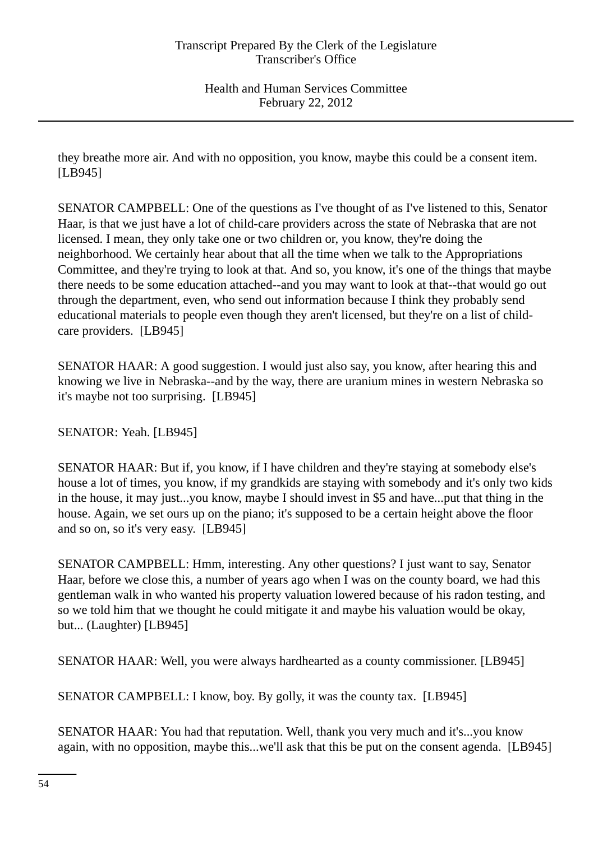they breathe more air. And with no opposition, you know, maybe this could be a consent item. [LB945]

SENATOR CAMPBELL: One of the questions as I've thought of as I've listened to this, Senator Haar, is that we just have a lot of child-care providers across the state of Nebraska that are not licensed. I mean, they only take one or two children or, you know, they're doing the neighborhood. We certainly hear about that all the time when we talk to the Appropriations Committee, and they're trying to look at that. And so, you know, it's one of the things that maybe there needs to be some education attached--and you may want to look at that--that would go out through the department, even, who send out information because I think they probably send educational materials to people even though they aren't licensed, but they're on a list of childcare providers. [LB945]

SENATOR HAAR: A good suggestion. I would just also say, you know, after hearing this and knowing we live in Nebraska--and by the way, there are uranium mines in western Nebraska so it's maybe not too surprising. [LB945]

SENATOR: Yeah. [LB945]

SENATOR HAAR: But if, you know, if I have children and they're staying at somebody else's house a lot of times, you know, if my grandkids are staying with somebody and it's only two kids in the house, it may just...you know, maybe I should invest in \$5 and have...put that thing in the house. Again, we set ours up on the piano; it's supposed to be a certain height above the floor and so on, so it's very easy. [LB945]

SENATOR CAMPBELL: Hmm, interesting. Any other questions? I just want to say, Senator Haar, before we close this, a number of years ago when I was on the county board, we had this gentleman walk in who wanted his property valuation lowered because of his radon testing, and so we told him that we thought he could mitigate it and maybe his valuation would be okay, but... (Laughter) [LB945]

SENATOR HAAR: Well, you were always hardhearted as a county commissioner. [LB945]

SENATOR CAMPBELL: I know, boy. By golly, it was the county tax. [LB945]

SENATOR HAAR: You had that reputation. Well, thank you very much and it's...you know again, with no opposition, maybe this...we'll ask that this be put on the consent agenda. [LB945]